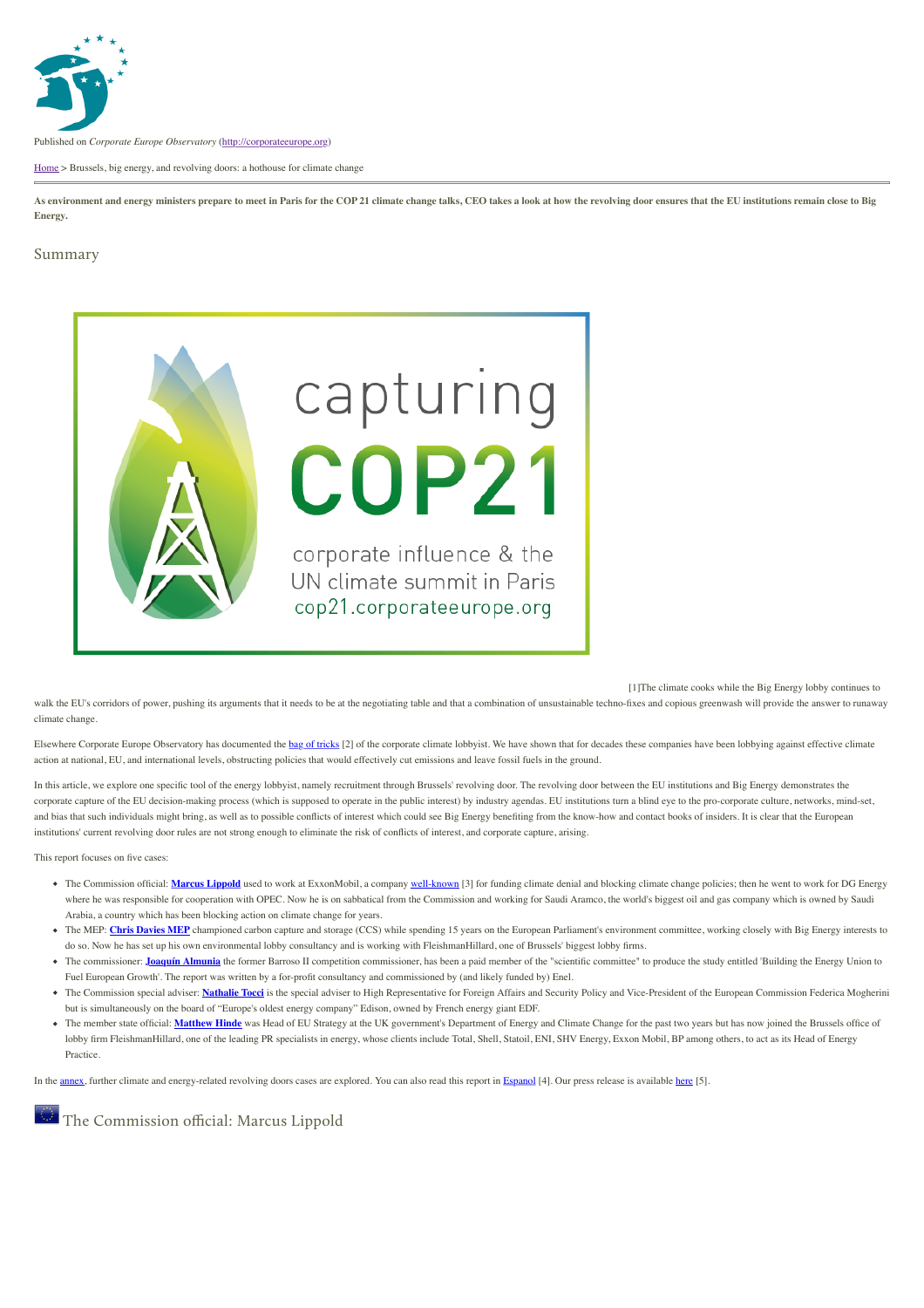

Published on *Corporate Europe Observatory* [\(http://corporateeurope.org](http://corporateeurope.org/))

[Home](http://corporateeurope.org/) > Brussels, big energy, and revolving doors: a hothouse for climate change

**As environment and energy ministers prepare to meet in Paris for the COP 21 climate change talks, CEO takes a look at how the revolving door ensures that the EU institutions remain close to Big Energy.**

### Summary



[1]The climate cooks while the Big Energy lobby continues to

walk the EU's corridors of power, pushing its arguments that it needs to be at the negotiating table and that a combination of unsustainable techno-fixes and copious greenwash will provide the answer to runaway climate change.

Elsewhere Corporate Europe Observatory has documented the [bag of tricks](http://corporateeurope.org/sites/default/files/attachments/endingaffair_briefing_final.pdf) [2] of the corporate climate lobbyist. We have shown that for decades these companies have been lobbying against effective climate action at national, EU, and international levels, obstructing policies that would effectively cut emissions and leave fossil fuels in the ground.

In this article, we explore one specific tool of the energy lobbyist, namely recruitment through Brussels' revolving door. The revolving door between the EU institutions and Big Energy demonstrates the corporate capture of the EU decision-making process (which is supposed to operate in the public interest) by industry agendas. EU institutions turn a blind eye to the pro-corporate culture, networks, mind-set, and bias that such individuals might bring, as well as to possible conflicts of interest which could see Big Energy benefiting from the know-how and contact books of insiders. It is clear that the European institutions' current revolving door rules are not strong enough to eliminate the risk of conflicts of interest, and corporate capture, arising.

This report focuses on five cases:

- The Commission official: [Marcus Lippold](http://corporateeurope.org/print/2171#Lippold) used to work at ExxonMobil, a company [well-known](http://www.newyorker.com/news/daily-comment/what-exxon-knew-about-climate-change) [3] for funding climate denial and blocking climate change policies; then he went to work for DG Energy where he was responsible for cooperation with OPEC. Now he is on sabbatical from the Commission and working for Saudi Aramco, the world's biggest oil and gas company which is owned by Saudi Arabia, a country which has been blocking action on climate change for years.
- The MEP: [Chris Davies MEP](http://corporateeurope.org/print/2171#Davies) championed carbon capture and storage (CCS) while spending 15 years on the European Parliament's environment committee, working closely with Big Energy interests to do so. Now he has set up his own environmental lobby consultancy and is working with FleishmanHillard, one of Brussels' biggest lobby firms.
- The commissioner: **[Joaquín Almunia](http://corporateeurope.org/print/2171#Almunia)** the former Barroso II competition commissioner, has been a paid member of the "scientific committee" to produce the study entitled 'Building the Energy Union to Fuel European Growth'. The report was written by a for-profit consultancy and commissioned by (and likely funded by) Enel.
- The Commission special adviser: **[Nathalie Tocci](http://corporateeurope.org/print/2171#Tocci)** is the special adviser to High Representative for Foreign Affairs and Security Policy and Vice-President of the European Commission Federica Mogherini but is simultaneously on the board of "Europe's oldest energy company" Edison, owned by French energy giant EDF.
- . The member state official: [Matthew Hinde](http://corporateeurope.org/print/2171#Hinde) was Head of EU Strategy at the UK government's Department of Energy and Climate Change for the past two years but has now joined the Brussels office of lobby firm FleishmanHillard, one of the leading PR specialists in energy, whose clients include Total, Shell, Statoil, ENI, SHV Energy, Exxon Mobil, BP among others, to act as its Head of Energy **Practice**

In the **annex**, further climate and energy-related revolving doors cases are explored. You can also read this report in **Espanol** [4]. Our press release is available [here](http://corporateeurope.org/pressreleases/2015/11/brussels-big-energy-revolving-doors-hothouse-climate-change) [5].

The Commission official: Marcus Lippold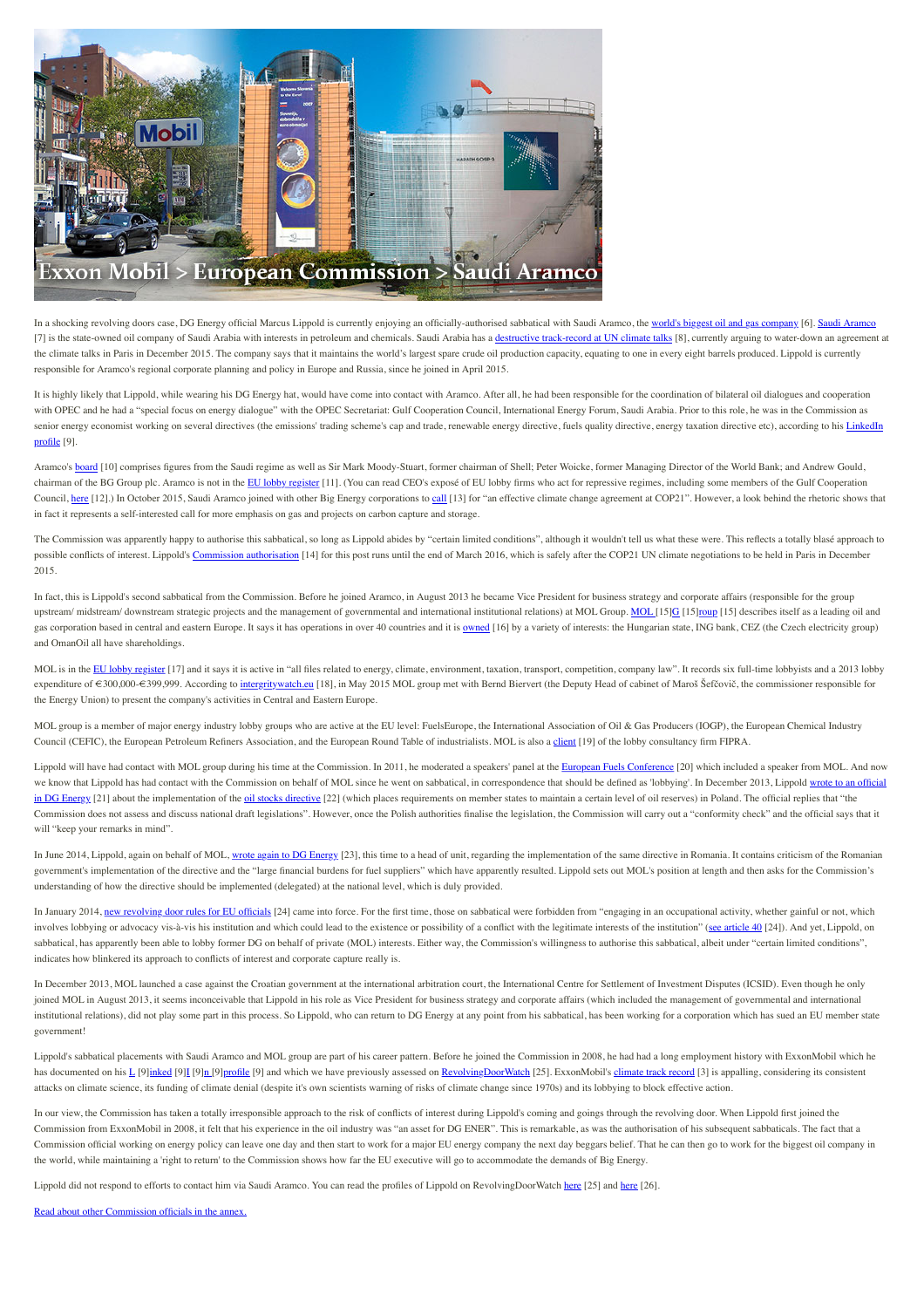

In a shocking revolving doors case, DG Energy official Marcus Lippold is currently enjoying an officially-authorised sabbatical with Saudi Aramco, the [world's biggest oil and gas company](http://www.forbes.com/sites/christopherhelman/2015/03/19/the-worlds-biggest-oil-and-gas-companies/) [6]. Sau [7] is the state-owned oil company of Saudi Arabia with interests in petroleum and chemicals. Saudi Arabia has a [destructive track-record at UN climate talks](http://www.dw.com/en/led-by-saudi-arabia-persian-gulf-oil-countries-resist-tough-climate-agreement/a-18691721) [8], currently arguing to water-down an agreement at the climate talks in Paris in December 2015. The company says that it maintains the world's largest spare crude oil production capacity, equating to one in every eight barrels produced. Lippold is currently responsible for Aramco's regional corporate planning and policy in Europe and Russia, since he joined in April 2015.

It is highly likely that Lippold, while wearing his DG Energy hat, would have come into contact with Aramco. After all, he had been responsible for the coordination of bilateral oil dialogues and cooperation with OPEC and he had a "special focus on energy dialogue" with the OPEC Secretariat: Gulf Cooperation Council, International Energy Forum, Saudi Arabia. Prior to this role, he was in the Commission as [senior energy economist working on several directives \(the emissions' trading scheme's cap and trade, renewable energy directive, fuels quality directive, energy taxation directive etc\), according to his LinkedIn](https://www.linkedin.com/profile/view?id=3213901&authType=NAME_SEARCH&authToken=4DS5&locale=en_US&srchid=1422924141439910037149&srchindex=1&srchtotal=4&trk=vsrp_people_res_name&trkInfo=VSRPsearchId:1422924141439910037149,VSRPtargetId:3213901,VSRPcmpt:primary,VSRPnm:true,authType:NAME_SEARCH) profile [9].

Aramco's **board** [10] comprises figures from the Saudi regime as well as Sir Mark Moody-Stuart, former chairman of Shell; Peter Woicke, former Managing Director of the World Bank; and Andrew Gould, chairman of the BG Group plc. Aramco is not in the [EU lobby register](http://ec.europa.eu/transparencyregister/public/homePage.do?redir=false&locale=en) [11]. (You can read CEO's exposé of EU lobby firms who act for repressive regimes, including some members of the Gulf Cooperation Council, [here](http://corporateeurope.org/sites/default/files/201500303_spindoctors_lr.pdf) [12].) In October 2015, Saudi Aramco joined with other Big Energy corporations to [call](http://www.oilandgasclimateinitiative.com/news/oil-and-gas-ceos-jointly-declare-action-on-climate-change/) [13] for "an effective climate change agreement at COP21". However, a look behind the rhetoric shows that in fact it represents a self-interested call for more emphasis on gas and projects on carbon capture and storage.

The Commission was apparently happy to authorise this sabbatical, so long as Lippold abides by "certain limited conditions", although it wouldn't tell us what these were. This reflects a totally blasé approach to possible conflicts of interest. Lippold's [Commission authorisation](http://www.asktheeu.org/en/request/2252/response/7957/attach/2/Lippold.pdf) [14] for this post runs until the end of March 2016, which is safely after the COP21 UN climate negotiations to be held in Paris in December 2015.

In fact, this is Lippold's second sabbatical from the Commission. Before he joined Aramco, in August 2013 he became Vice President for business strategy and corporate affairs (responsible for the group upstream/ midstream/ downstream strategic projects and the management of governmental and international institutional relations) at [MOL](http://molgroup.info/en/about-mol-group/company-overview) [G](http://molgroup.info/en/about-mol-group/company-overview)roup. MOL [15]G [15[\]roup](http://molgroup.info/en/about-mol-group/company-overview) [15] describes itself as a leading oil and gas corporation based in central and eastern Europe. It says it has operations in over 40 countries and it is **owned** [16] by a variety of interests: the Hungarian state, ING bank, CEZ (the Czech electricity group) and OmanOil all have shareholdings.

MOL is in the [EU lobby register](http://lobbyfacts.eu/representative/910386008c8744aab1bcec24bca3aa22) [17] and it says it is active in "all files related to energy, climate, environment, taxation, transport, competition, company law". It records six full-time lobbyists and a 2013 lobby expenditure of €300,000-€399,999. According to [intergritywatch.eu](http://www.integritywatch.eu/) [18], in May 2015 MOL group met with Bernd Biervert (the Deputy Head of cabinet of Maroš Šefčovič, the commissioner responsible for the Energy Union) to present the company's activities in Central and Eastern Europe.

MOL group is a member of major energy industry lobby groups who are active at the EU level: FuelsEurope, the International Association of Oil & Gas Producers (IOGP), the European Chemical Industry Council (CEFIC), the European Petroleum Refiners Association, and the European Round Table of industrialists. MOL is also a [client](http://lobbyfacts.eu/representative/6c1a176e05f34451a49039edb473e1d1) [19] of the lobby consultancy firm FIPRA.

Lippold will have had contact with MOL group during his time at the Commission. In 2011, he moderated a speakers' panel at the [European Fuels Conference](http://www.obsa.org/Lists/Eventos/Attachments/232/European_Fuels_Conference_EN.pdf) [20] which included a speaker from MOL. And now [we know that Lippold has had contact with the Commission on behalf of MOL since he went on sabbatical, in correspondence that should be defined as 'lobbying'. In December 2013, Lippold wrote to an official](http://corporateeurope.org/sites/default/files/poland_mol.pdf) in DG Energy [21] about the implementation of the [oil stocks directive](https://ec.europa.eu/energy/en/topics/imports-and-secure-supplies/eu-oil-stocks) [22] (which places requirements on member states to maintain a certain level of oil reserves) in Poland. The official replies that "the Commission does not assess and discuss national draft legislations". However, once the Polish authorities finalise the legislation, the Commission will carry out a "conformity check" and the official says that it will "keep your remarks in mind".

In June 2014, Lippold, again on behalf of MOL, [wrote again to DG Energy](http://corporateeurope.org/sites/default/files/romania_mol.pdf) [23], this time to a head of unit, regarding the implementation of the same directive in Romania. It contains criticism of the Romanian government's implementation of the directive and the "large financial burdens for fuel suppliers" which have apparently resulted. Lippold sets out MOL's position at length and then asks for the Commission's understanding of how the directive should be implemented (delegated) at the national level, which is duly provided.

In January 2014, [new revolving door rules for EU officials](http://eur-lex.europa.eu/LexUriServ/LexUriServ.do?uri=CONSLEG:1962R0031:20140101:EN:PDF) [24] came into force. For the first time, those on sabbatical were forbidden from "engaging in an occupational activity, whether gainful or not, which involves lobbying or advocacy vis-à-vis his institution and which could lead to the existence or possibility of a conflict with the legitimate interests of the institution" [\(see article 40](http://eur-lex.europa.eu/LexUriServ/LexUriServ.do?uri=CONSLEG:1962R0031:20140101:EN:PDF) [24]). And yet, Lippold, on sabbatical, has apparently been able to lobby former DG on behalf of private (MOL) interests. Either way, the Commission's willingness to authorise this sabbatical, albeit under "certain limited conditions", indicates how blinkered its approach to conflicts of interest and corporate capture really is.

In December 2013, MOL launched a case against the Croatian government at the international arbitration court, the International Centre for Settlement of Investment Disputes (ICSID). Even though he only ioined MOL in August 2013, it seems inconceivable that Lippold in his role as Vice President for business strategy and corporate affairs (which included the management of governmental and international institutional relations), did not play some part in this process. So Lippold, who can return to DG Energy at any point from his sabbatical, has been working for a corporation which has sued an EU member state government!

Lippold's sabbatical placements with Saudi Aramco and MOL group are part of his career pattern. Before he joined the Commission in 2008, he had had a long employment history with ExxonMobil which he has documented on his [L](https://www.linkedin.com/profile/view?id=3213901&authType=NAME_SEARCH&authToken=4DS5&locale=en_US&srchid=1422924141439910037149&srchindex=1&srchtotal=4&trk=vsrp_people_res_name&trkInfo=VSRPsearchId:1422924141439910037149,VSRPtargetId:3213901,VSRPcmpt:primary,VSRPnm:true,authType:NAME_SEARCH) [9[\]inked](https://www.linkedin.com/profile/view?id=3213901&authType=NAME_SEARCH&authToken=4DS5&locale=en_US&srchid=1422924141439910037149&srchindex=1&srchtotal=4&trk=vsrp_people_res_name&trkInfo=VSRPsearchId:1422924141439910037149,VSRPtargetId:3213901,VSRPcmpt:primary,VSRPnm:true,authType:NAME_SEARCH) [9][ [9[\]n \[](https://www.linkedin.com/profile/view?id=3213901&authType=NAME_SEARCH&authToken=4DS5&locale=en_US&srchid=1422924141439910037149&srchindex=1&srchtotal=4&trk=vsrp_people_res_name&trkInfo=VSRPsearchId:1422924141439910037149,VSRPtargetId:3213901,VSRPcmpt:primary,VSRPnm:true,authType:NAME_SEARCH)9][profile](https://www.linkedin.com/profile/view?id=3213901&authType=NAME_SEARCH&authToken=4DS5&locale=en_US&srchid=1422924141439910037149&srchindex=1&srchtotal=4&trk=vsrp_people_res_name&trkInfo=VSRPsearchId:1422924141439910037149,VSRPtargetId:3213901,VSRPcmpt:primary,VSRPnm:true,authType:NAME_SEARCH) [9] and which we have previously assessed on [RevolvingDoorWatch](http://corporateeurope.org/revolvingdoorwatch/cases/marcus-lippold) [25]. ExxonMobil's [climate track record](http://www.newyorker.com/news/daily-comment/what-exxon-knew-about-climate-change) [3] is appalling, considering its consistent attacks on climate science, its funding of climate denial (despite it's own scientists warning of risks of climate change since 1970s) and its lobbying to block effective action.

In our view, the Commission has taken a totally irresponsible approach to the risk of conflicts of interest during Lippold's coming and goings through the revolving door. When Lippold first joined the Commission from ExxonMobil in 2008, it felt that his experience in the oil industry was "an asset for DG ENER". This is remarkable, as was the authorisation of his subsequent sabbaticals. The fact that a Commission official working on energy policy can leave one day and then start to work for a major EU energy company the next day beggars belief. That he can then go to work for the biggest oil company in the world, while maintaining a 'right to return' to the Commission shows how far the EU executive will go to accommodate the demands of Big Energy.

Lippold did not respond to efforts to contact him via Saudi Aramco. You can read the profiles of Lippold on RevolvingDoorWatch [here](http://corporateeurope.org/revolvingdoorwatch/cases/marcus-lippold) [25] and [here](http://corporateeurope.org/revolvingdoorwatch/cases/marcus-lippold-0) [26].

[Read about other Commission officials in the annex.](http://corporateeurope.org/print/2171#other_commission_officials)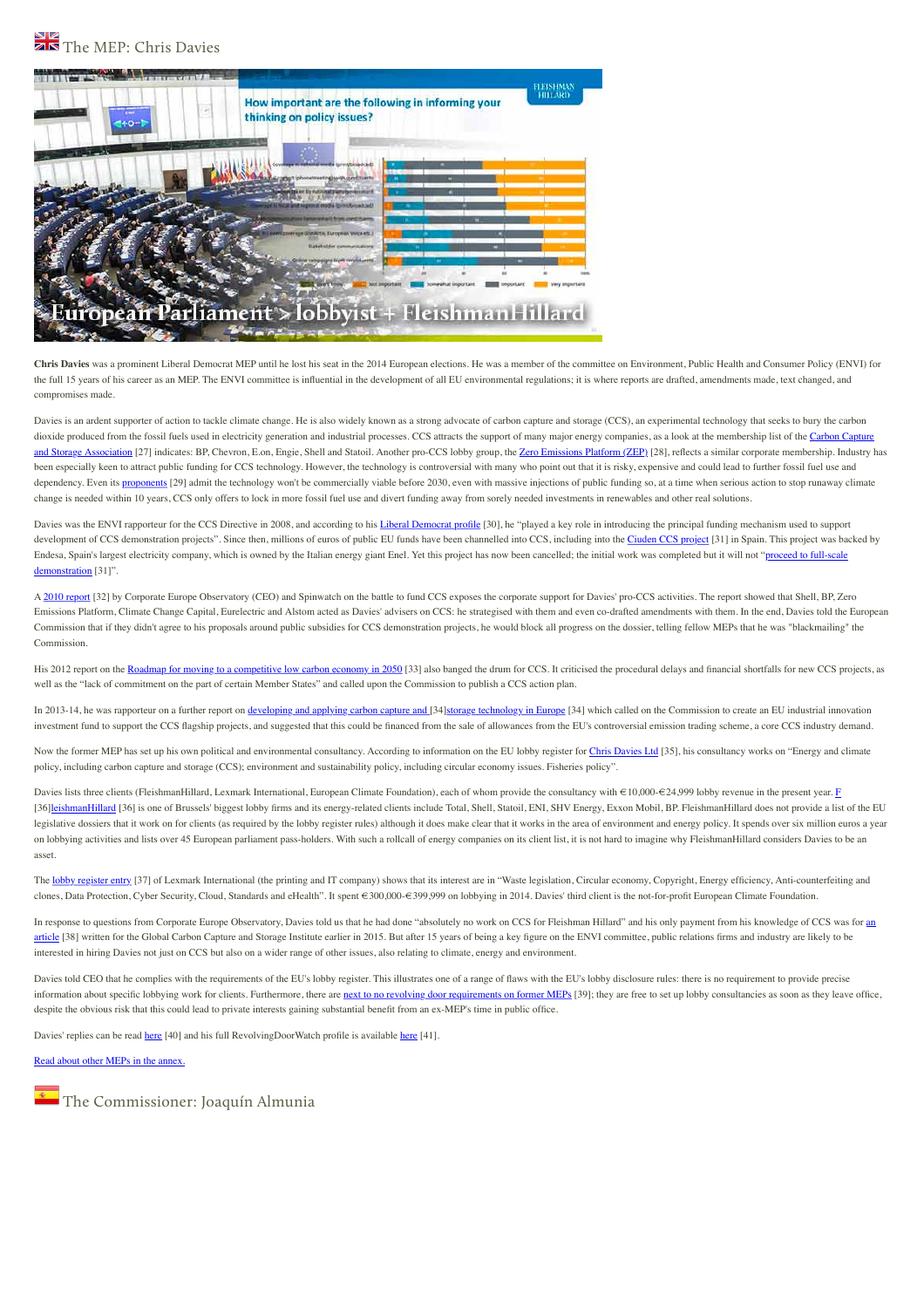



**Chris Davies** was a prominent Liberal Democrat MEP until he lost his seat in the 2014 European elections. He was a member of the committee on Environment, Public Health and Consumer Policy (ENVI) for the full 15 years of his career as an MEP. The ENVI committee is influential in the development of all EU environmental regulations; it is where reports are drafted, amendments made, text changed, and compromises made.

Davies is an ardent supporter of action to tackle climate change. He is also widely known as a strong advocate of carbon capture and storage (CCS), an experimental technology that seeks to bury the carbon [dioxide produced from the fossil fuels used in electricity generation and industrial processes. CCS attracts the support of many major energy companies, as a look at the membership list of the Carbon Capture](http://www.ccsassociation.org/about-us/our-members/) and Storage Association [27] indicates: BP, Chevron, E.on, Engie, Shell and Statoil. Another pro-CCS lobby group, the [Zero Emissions Platform \(ZEP\)](http://www.zeroemissionsplatform.eu/) [28], reflects a similar corporate membership. Industry has been especially keen to attract public funding for CCS technology. However, the technology is controversial with many who point out that it is risky, expensive and could lead to further fossil fuel use and dependency. Even its [proponents](http://www.zeroemissionsplatform.eu/faq.html#answer1) [29] admit the technology won't be commercially viable before 2030, even with massive injections of public funding so, at a time when serious action to stop runaway climate change is needed within 10 years, CCS only offers to lock in more fossil fuel use and divert funding away from sorely needed investments in renewables and other real solutions.

Davies was the ENVI rapporteur for the CCS Directive in 2008, and according to his [Liberal Democrat profile](http://libdemmeps.com/?page_id=9) [30], he "played a key role in introducing the principal funding mechanism used to support development of CCS demonstration projects". Since then, millions of euros of public EU funds have been channelled into CCS, including into the [Ciuden CCS project](http://ccsnetwork.eu/projects/compostilla-oxy-cfb-300) [31] in Spain. This project was backed by [Endesa, Spain's largest electricity company, which is owned by the Italian energy giant Enel. Yet this project has now been cancelled; the initial work was completed but it will not "proceed to full-scale](http://ccsnetwork.eu/projects/compostilla-oxy-cfb-300) demonstration [31]".

A [2010 report](http://corporateeurope.org/sites/default/files/sites/default/files/files/article/ccs.lobbying.pdf) [32] by Corporate Europe Observatory (CEO) and Spinwatch on the battle to fund CCS exposes the corporate support for Davies' pro-CCS activities. The report showed that Shell, BP, Zero Emissions Platform, Climate Change Capital, Eurelectric and Alstom acted as Davies' advisers on CCS; he strategised with them and even co-drafted amendments with them. In the end, Davies told the European Commission that if they didn't agree to his proposals around public subsidies for CCS demonstration projects, he would block all progress on the dossier, telling fellow MEPs that he was "blackmailing" the Commission.

His 2012 report on the [Roadmap for moving to a competitive low carbon economy in 2050](http://www.europarl.europa.eu/sides/getDoc.do?pubRef=-//EP//TEXT+REPORT+A7-2012-0033+0+DOC+XML+V0//EN&language=en) [33] also banged the drum for CCS. It criticised the procedural delays and financial shortfalls for new CCS projects, as well as the "lack of commitment on the part of certain Member States" and called upon the Commission to publish a CCS action plan.

In 2013-14, he was rapporteur on a further report on [developing and applying carbon capture and \[](http://www.europarl.europa.eu/sides/getDoc.do?pubRef=-//EP//TEXT+REPORT+A7-2013-0430+0+DOC+XML+V0//EN&language=en)34[\]storage technology in Europe](http://www.europarl.europa.eu/sides/getDoc.do?pubRef=-//EP//TEXT+REPORT+A7-2013-0430+0+DOC+XML+V0//EN&language=en) [34] which called on the Commission to create an EU industrial innovation investment fund to support the CCS flagship projects, and suggested that this could be financed from the sale of allowances from the EU's controversial emission trading scheme, a core CCS industry demand.

Now the former MEP has set up his own political and environmental consultancy. According to information on the EU lobby register for [Chris Davies Ltd](http://ec.europa.eu/transparencyregister/public/consultation/displaylobbyist.do?id=881015115113-40) [35], his consultancy works on "Energy and climate policy, including carbon capture and storage (CCS); environment and sustainability policy, including circular economy issues. Fisheries policy".

Davies lists three clients (FleishmanHillard, Lexmark International, European Climate [F](http://lobbyfacts.eu/representative/e3f1aa49fd804c4ca02273558aa5553b)oundation), each of whom provide the consultancy with €10,000-€24,999 lobby revenue in the present year. F [36][leishmanHillard](http://lobbyfacts.eu/representative/e3f1aa49fd804c4ca02273558aa5553b) [36] is one of Brussels' biggest lobby firms and its energy-related clients include Total, Shell, Statoil, ENI, SHV Energy, Exxon Mobil, BP. FleishmanHillard does not provide a list of the EU legislative dossiers that it work on for clients (as required by the lobby register rules) although it does make clear that it works in the area of environment and energy policy. It spends over six million euros a year on lobbying activities and lists over 45 European parliament pass-holders. With such a rollcall of energy companies on its client list, it is not hard to imagine why FleishmanHillard considers Davies to be an asset.

The [lobby register entry](http://lobbyfacts.eu/representative/4e0cfd40829340e4a23172fb13dbd558) [37] of Lexmark International (the printing and IT company) shows that its interest are in "Waste legislation, Circular economy, Copyright, Energy efficiency, Anti-counterfeiting and clones, Data Protection, Cyber Security, Cloud, Standards and eHealth". It spent €300,000-€399,999 on lobbying in 2014. Davies' third client is the not-for-profit European Climate Foundation.

[In response to questions from Corporate Europe Observatory, Davies told us that he had done "absolutely no work on CCS for Fleishman Hillard" and his only payment from his knowledge of CCS was for an](http://www.globalccsinstitute.com/insights/authors/Chris%20Davies/2015/05/14/getting-real-about-carbon-capture-and-storage) article [38] written for the Global Carbon Capture and Storage Institute earlier in 2015. But after 15 years of being a key figure on the ENVI committee, public relations firms and industry are likely to be interested in hiring Davies not just on CCS but also on a wider range of other issues, also relating to climate, energy and environment.

Davies told CEO that he complies with the requirements of the EU's lobby register. This illustrates one of a range of flaws with the EU's lobby disclosure rules: there is no requirement to provide precise information about specific lobbying work for clients. Furthermore, there are [next to no revolving door requirements on former MEPs](http://www.europarl.europa.eu/pdf/meps/201305_Code_of_conduct_EN.pdf) [39]; they are free to set up lobby consultancies as soon as they leave office, despite the obvious risk that this could lead to private interests gaining substantial benefit from an ex-MEP's time in public office.

Davies' replies can be read [here](http://corporateeurope.org/revolvingdoorwatch/cases/chris-davies) [40] and his full RevolvingDoorWatch profile is available here [41].

[Read about other MEPs in the annex.](http://corporateeurope.org/print/2171#otherMEPs)



**The Commissioner: Joaquín Almunia**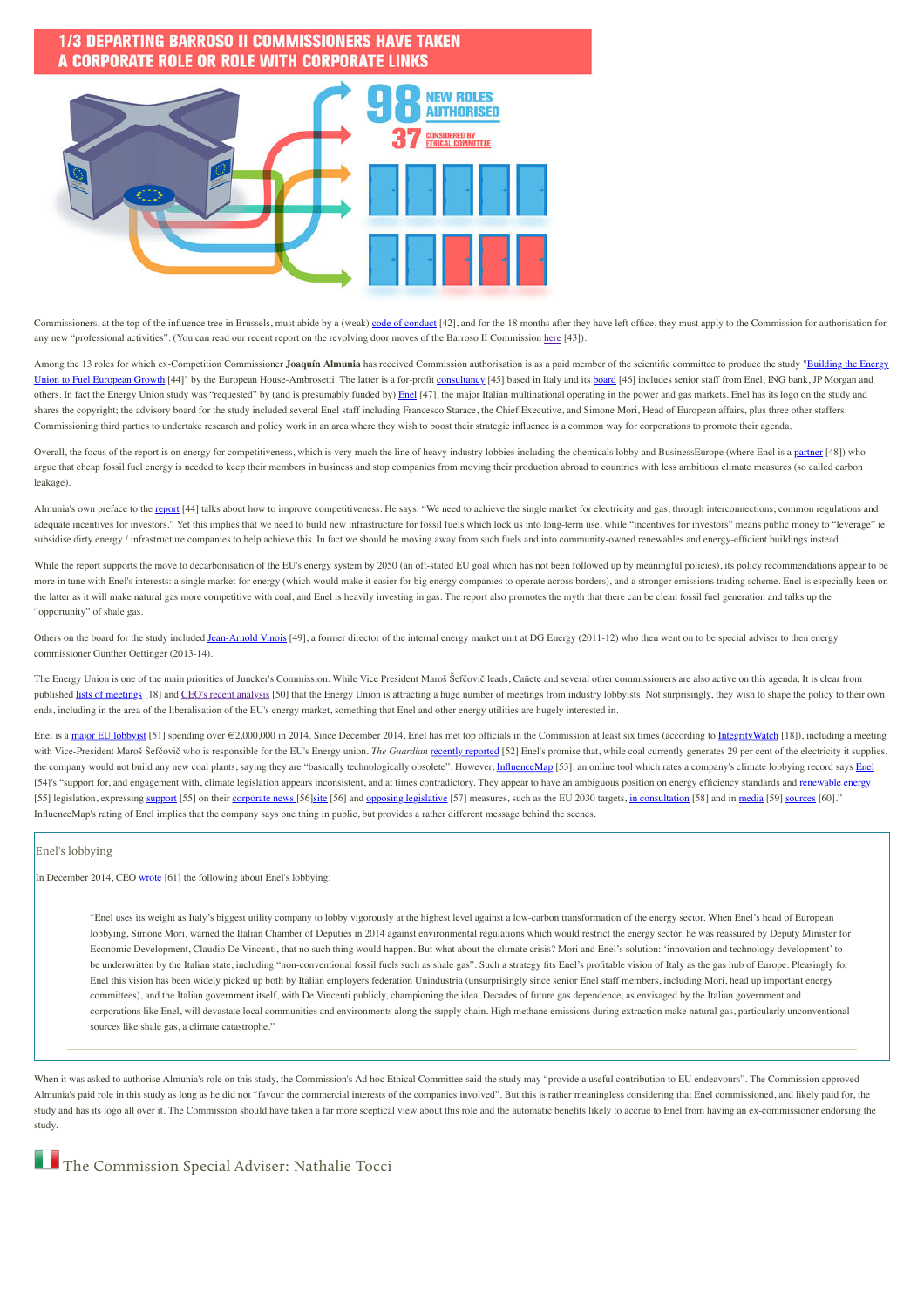## **1/3 DEPARTING BARROSO II COMMISSIONERS HAVE TAKEN** A CORPORATE ROLE OR ROLE WITH CORPORATE LINKS



Commissioners, at the top of the influence tree in Brussels, must abide by a (weak) [code of conduct](http://ec.europa.eu/archives/commission_2010-2014/pdf/code_conduct_en.pdf) [42], and for the 18 months after they have left office, they must apply to the Commission for authorisation for any new "professional activities". (You can read our recent report on the revolving door moves of the Barroso II Commission [here](http://corporateeurope.org/revolving-doors/2015/10/revolving-doors-spin-again) [43]).

Among the 13 roles for which ex-Competition Commissioner **Joaquín Almunia** [has received Commission authorisation is as a paid member of the scientific committee to produce the study "Building the Energy](http://www.ambrosetti.eu/wp-content/uploads/Building-the-European-Energy-Union_Full-Report_ENG1.pdf) Union to Fuel European Growth [44]" by the European House-Ambrosetti. The latter is a for-profit [consultancy](http://www.ambrosetti.eu/en/about-us/who-we-are) [45] based in Italy and its [board](http://www.observatoryoneurope.eu/Home/AdvisoryBoard) [46] includes senior staff from Enel, ING bank, JP Morgan and others. In fact the Energy Union study was "requested" by (and is presumably funded by) [Enel](https://www.enel.com/en-GB/) [47], the major Italian multinational operating in the power and gas markets. Enel has its logo on the study and shares the copyright; the advisory board for the study included several Enel staff including Francesco Starace, the Chief Executive, and Simone Mori, Head of European affairs, plus three other staffers. Commissioning third parties to undertake research and policy work in an area where they wish to boost their strategic influence is a common way for corporations to promote their agenda.

Overall, the focus of the report is on energy for competitiveness, which is very much the line of heavy industry lobbies including the chemicals lobby and BusinessEurope (where Enel is a [partner](http://www.businesseurope.eu/content/default.asp?PageID=604) [48]) who argue that cheap fossil fuel energy is needed to keep their members in business and stop companies from moving their production abroad to countries with less ambitious climate measures (so called carbon leakage)

Almunia's own preface to the [report](http://www.ambrosetti.eu/wp-content/uploads/Building-the-European-Energy-Union_Full-Report_ENG1.pdf) [44] talks about how to improve competitiveness. He says: "We need to achieve the single market for electricity and gas, through interconnections, common regulations and adequate incentives for investors." Yet this implies that we need to build new infrastructure for fossil fuels which lock us into long-term use, while "incentives for investors" means public money to "leverage" ie subsidise dirty energy / infrastructure companies to help achieve this. In fact we should be moving away from such fuels and into community-owned renewables and energy-efficient buildings instead.

While the report supports the move to decarbonisation of the EU's energy system by 2050 (an oft-stated EU goal which has not been followed up by meaningful policies), its policy recommendations appear to be more in tune with Enel's interests: a single market for energy (which would make it easier for big energy companies to operate across borders), and a stronger emissions trading scheme. Enel is especially keen on the latter as it will make natural gas more competitive with coal, and Enel is heavily investing in gas. The report also promotes the myth that there can be clean fossil fuel generation and talks up the "opportunity" of shale gas.

Others on the board for the study included [Jean-Arnold Vinois](https://www.linkedin.com/pub/jean-arnold-vinois/38/753/15a) [49], a former director of the internal energy market unit at DG Energy (2011-12) who then went on to be special adviser to then energy commissioner Günther Oettinger (2013-14).

The Energy Union is one of the main priorities of Juncker's Commission. While Vice President Maroš Šefčovič leads, Cañete and several other commissioners are also active on this agenda. It is clear from published [lists of meetings](http://www.integritywatch.eu/) [18] and [CEO's recent analysis](http://corporateeurope.org/environment/2015/11/cooking-planet) [50] that the Energy Union is attracting a huge number of meetings from industry lobbyists. Not surprisingly, they wish to shape the policy to their own ends, including in the area of the liberalisation of the EU's energy market, something that Enel and other energy utilities are hugely interested in.

Enel is a [major EU lobbyist](http://lobbyfacts.eu/representative/9aef532a4ecd4f0b80dd1f3584230bad) [51] spending over €2,000,000 in 2014. Since December 2014, Enel has met top officials in the Commission at least six times (according to [IntegrityWatch](http://www.integritywatch.eu/) [18]), including a meeting with Vice-President Maroš Šefčovič who is responsible for the EU's Energy union. *The Guardian* [recently reported](http://www.theguardian.com/environment/2015/oct/22/former-foes-greenpeace-and-energy-giant-enel-stand-together-in-low-carbon-push) [52] Enel's promise that, while coal currently generates 29 per cent of the electricity it supplies, the company would not build any new coal plants, saying they are "basically technologically obsolete". However, [InfluenceMap](http://influencemap.org/index.html) [53], an online tool which rates a company's climate lobbying record says [Enel](http://influencemap.org/company/Enel-e3acfc23c1f0dfd05759e00c3fa35175) [54]'s "support for, and engagement with, climate legislation appears inconsistent, and at times contradictory. They appear to have an ambiguous position on energy efficiency standards and [renewable energy](http://influencemap.org/company/Enel-e3acfc23c1f0dfd05759e00c3fa35175#) [55] legislation, expressing [support](http://influencemap.org/company/Enel-e3acfc23c1f0dfd05759e00c3fa35175#) [55] on their [corporate news \[](http://influencemap.org/score/Enel-Q9-D2)56[\]site](http://influencemap.org/score/Enel-Q9-D2) [56] and [opposing legislative](http://influencemap.org/score/Enel-Q8-D4) [57] measures, such as the EU 2030 targets, [in consultation](http://influencemap.org/score/Enel-Q9-D4) [58] and in [media](http://influencemap.org/score/Enel-Q8-D5) [59] [sources](http://influencemap.org/score/Enel-Q9-D5) [60]." InfluenceMap's rating of Enel implies that the company says one thing in public, but provides a rather different message behind the scenes.

### Enel's lobbying

In December 2014, CEO [wrote](http://corporateeurope.org/sites/default/files/corporate_conquistadors-en-web-0912.pdf) [61] the following about Enel's lobbying:

"Enel uses its weight as Italy's biggest utility company to lobby vigorously at the highest level against a low-carbon transformation of the energy sector. When Enel's head of European lobbying, Simone Mori, warned the Italian Chamber of Deputies in 2014 against environmental regulations which would restrict the energy sector, he was reassured by Deputy Minister for Economic Development, Claudio De Vincenti, that no such thing would happen. But what about the climate crisis? Mori and Enel's solution: 'innovation and technology development' to be underwritten by the Italian state, including "non-conventional fossil fuels such as shale gas". Such a strategy fits Enel's profitable vision of Italy as the gas hub of Europe. Pleasingly for Enel this vision has been widely picked up both by Italian employers federation Unindustria (unsurprisingly since senior Enel staff members, including Mori, head up important energy committees), and the Italian government itself, with De Vincenti publicly, championing the idea. Decades of future gas dependence, as envisaged by the Italian government and corporations like Enel, will devastate local communities and environments along the supply chain. High methane emissions during extraction make natural gas, particularly unconventional sources like shale gas, a climate catastrophe."

When it was asked to authorise Almunia's role on this study, the Commission's Ad hoc Ethical Committee said the study may "provide a useful contribution to EU endeavours". The Commission approved Almunia's paid role in this study as long as he did not "favour the commercial interests of the companies involved". But this is rather meaningless considering that Enel commissioned, and likely paid for, the study and has its logo all over it. The Commission should have taken a far more sceptical view about this role and the automatic benefits likely to accrue to Enel from having an ex-commissioner endorsing the study.

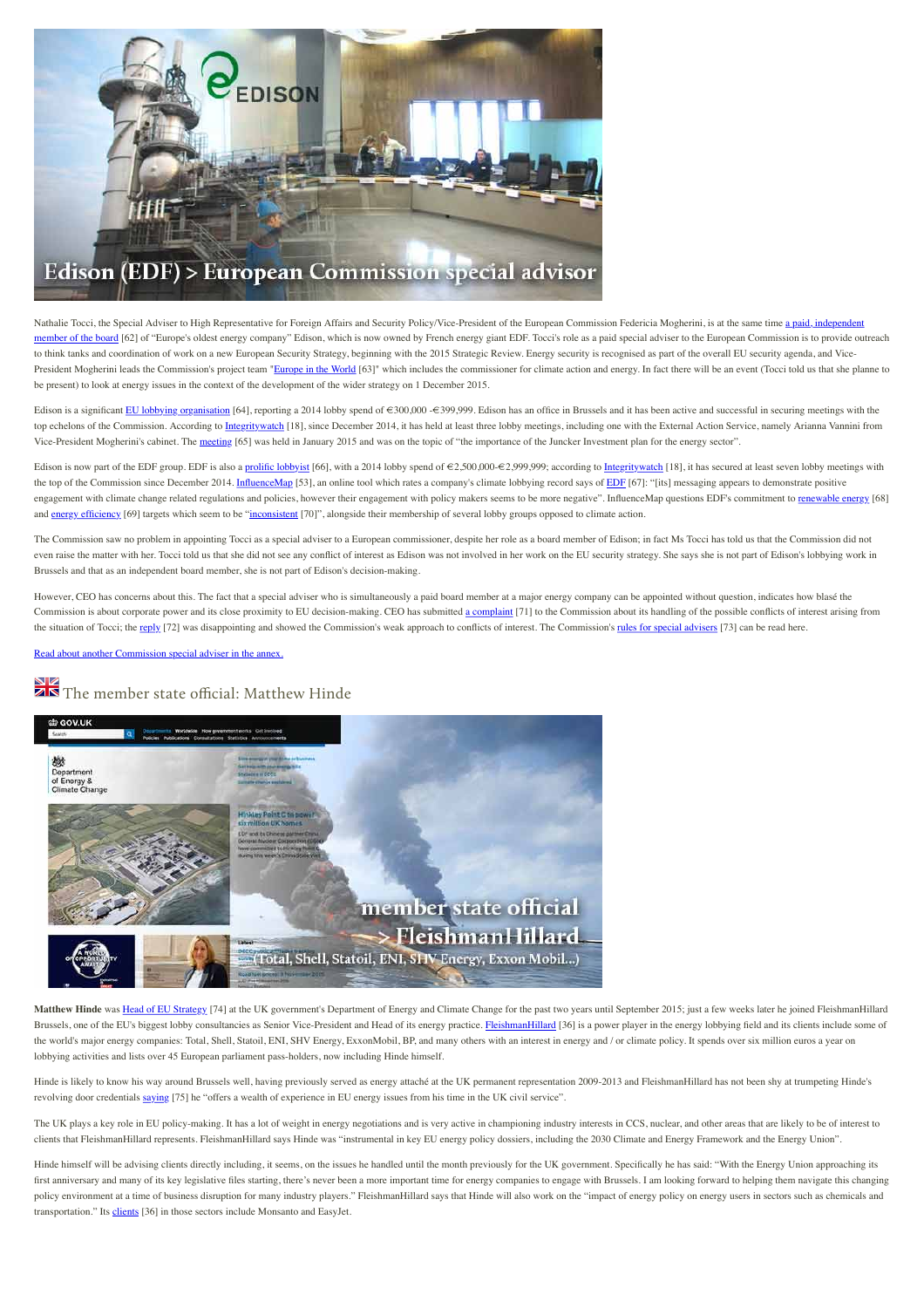

# **Edison (EDF) > European Commission special advisor**

[Nathalie Tocci, the Special Adviser to High Representative for Foreign Affairs and Security Policy/Vice-President of the European Commission Federicia Mogherini, is at the same time a paid, independent](http://www.edison.it/en/members) member of the board [62] of "Europe's oldest energy company" Edison, which is now owned by French energy giant EDF. Tocci's role as a paid special adviser to the European Commission is to provide outreach to think tanks and coordination of work on a new European Security Strategy, beginning with the 2015 Strategic Review. Energy security is recognised as part of the overall EU security agenda, and Vice-President Mogherini leads the Commission's project team ["Europe in the World](http://ec.europa.eu/about/structure/index_en.htm#ta) [63]" which includes the commissioner for climate action and energy. In fact there will be an event (Tocci told us that she planne to be present) to look at energy issues in the context of the development of the wider strategy on 1 December 2015.

Edison is a significant [EU lobbying organisation](http://lobbyfacts.eu/representative/a5dc2ac8995a41c8a3da7c7a3e1e54fd) [64], reporting a 2014 lobby spend of  $\in 300,000$   $\in 399,999$ . Edison has an office in Brussels and it has been active and successful in securing meetings with the top echelons of the Commission. According to [Integritywatch](http://www.integritywatch.eu/) [18], since December 2014, it has held at least three lobby meetings, including one with the External Action Service, namely Arianna Vannini from Vice-President Mogherini's cabinet. The [meeting](http://ec.europa.eu/transparencyinitiative/meetings/meeting.do?host=b6c0bf49-dbd0-4884-af38-d0da75bc6395&d-6679426-p=6) [65] was held in January 2015 and was on the topic of "the importance of the Juncker Investment plan for the energy sector".

Edison is now part of the EDF group. EDF is also a [prolific lobbyist](http://lobbyfacts.eu/representative/0963b57e4d6f482eaf5158219efa9a21) [66], with a 2014 lobby spend of  $\epsilon$ 2,500,000- $\epsilon$ 2,999,999; according to [Integritywatch](http://www.integritywatch.eu/) [18], it has secured at least seven lobby meetings with the top of the Commission since December 2014. [InfluenceMap](http://influencemap.org/index.html) [53], an online tool which rates a company's climate lobbying record says of [EDF](http://influencemap.org/company/EDF-72fdabf53d6bf3e73276df658a32042a) [67]: "[its] messaging appears to demonstrate positive engagement with climate change related regulations and policies, however their engagement with policy makers seems to be more negative". InfluenceMap questions EDF's commitment to [renewable energy](http://influencemap.org/score/EDF-Q9-D5) [68] and [energy efficiency](http://influencemap.org/score/EDF-Q8-D4) [69] targets which seem to be "[inconsistent](http://influencemap.org/company/EDF-72fdabf53d6bf3e73276df658a32042a#) [70]", alongside their membership of several lobby groups opposed to climate action.

The Commission saw no problem in appointing Tocci as a special adviser to a European commissioner, despite her role as a board member of Edison; in fact Ms Tocci has told us that the Commission did not even raise the matter with her. Tocci told us that she did not see any conflict of interest as Edison was not involved in her work on the EU security strategy. She says she is not part of Edison's lobbying work in Brussels and that as an independent board member, she is not part of Edison's decision-making.

However, CEO has concerns about this. The fact that a special adviser who is simultaneously a paid board member at a major energy company can be appointed without question, indicates how blasé the Commission is about corporate power and its close proximity to EU decision-making. CEO has submitted [a complaint](http://corporateeurope.org/sites/default/files/tocci_complaint_16.9.2015.pdf) [71] to the Commission about its handling of the possible conflicts of interest arising from the situation of Tocci; the [reply](http://corporateeurope.org/sites/default/files/is-ceo-tocci_reply.pdf) [72] was disappointing and showed the Commission's weak approach to conflicts of interest. The Commission's [rules for special advisers](http://ec.europa.eu/civil_service/docs/special_advisers/comm_c_2007_6655_1_en.pdf) [73] can be read here.

[Read about another Commission special adviser in the annex.](http://corporateeurope.org/print/2171#other_commission_special_advisors)

# The member state official: Matthew Hinde



Matthew Hinde was [Head of EU Strategy](https://www.linkedin.com/pub/matt-hinde/b2/a2b/836) [74] at the UK government's Department of Energy and Climate Change for the past two years until September 2015; just a few weeks later he joined FleishmanHillard Brussels, one of the EU's biggest lobby consultancies as Senior Vice-President and Head of its energy practice. [FleishmanHillard](http://lobbyfacts.eu/representative/e3f1aa49fd804c4ca02273558aa5553b) [36] is a power player in the energy lobbying field and its clients include some of the world's major energy companies: Total, Shell, Statoil, ENI, SHV Energy, ExxonMobil, BP, and many others with an interest in energy and / or climate policy. It spends over six million euros a year on lobbying activities and lists over 45 European parliament pass-holders, now including Hinde himself.

Hinde is likely to know his way around Brussels well, having previously served as energy attaché at the UK permanent representation 2009-2013 and FleishmanHillard has not been shy at trumpeting Hinde's revolving door credentials [saying](http://fleishman-hillard.eu/2015/10/matt-hinde-returns-to-brussels-to-lead-eu-energy-practice/) [75] he "offers a wealth of experience in EU energy issues from his time in the UK civil service".

The UK plays a key role in EU policy-making. It has a lot of weight in energy negotiations and is very active in championing industry interests in CCS, nuclear, and other areas that are likely to be of interest to clients that FleishmanHillard represents. FleishmanHillard says Hinde was "instrumental in key EU energy policy dossiers, including the 2030 Climate and Energy Framework and the Energy Union".

Hinde himself will be advising clients directly including, it seems, on the issues he handled until the month previously for the UK government. Specifically he has said: "With the Energy Union approaching its first anniversary and many of its key legislative files starting, there's never been a more important time for energy companies to engage with Brussels. I am looking forward to helping them navigate this changing policy environment at a time of business disruption for many industry players." FleishmanHillard says that Hinde will also work on the "impact of energy policy on energy users in sectors such as chemicals and transportation." Its [clients](http://lobbyfacts.eu/representative/e3f1aa49fd804c4ca02273558aa5553b) [36] in those sectors include Monsanto and EasyJet.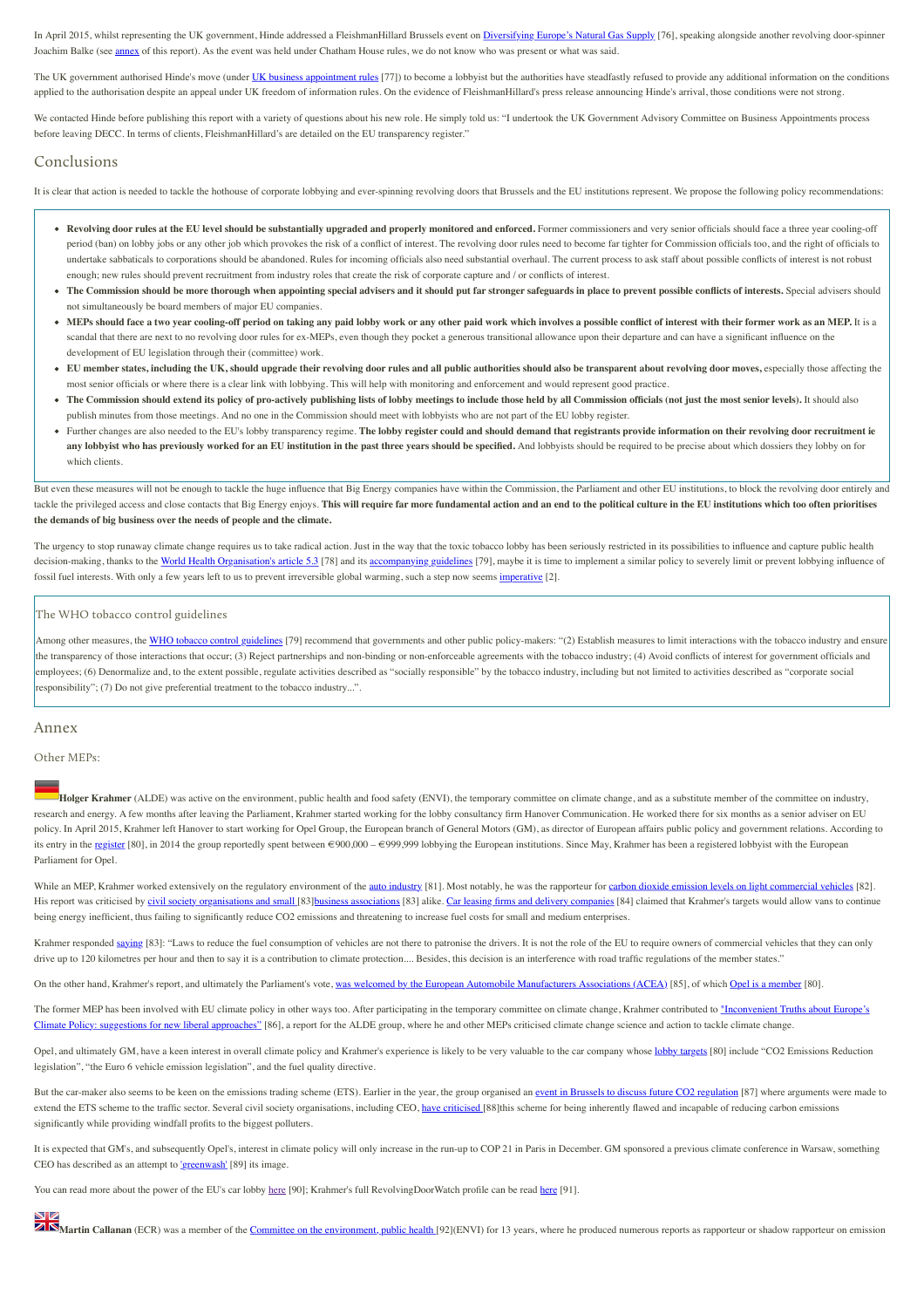In April 2015, whilst representing the UK government, Hinde addressed a FleishmanHillard Brussels event on [Diversifying Europe's Natural Gas Supply](http://cdn.fleishman-hillard.eu/wordpress/files/2015/03/Invitation-2-April_.pdf) [76], speaking alongside another revolving door-spinner Joachim Balke (see [annex](http://corporateeurope.org/print/2171#annex) of this report). As the event was held under Chatham House rules, we do not know who was present or what was said.

The UK government authorised Hinde's move (under [UK business appointment rules](https://www.gov.uk/guidance/crown-servants-new-jobs-and-business-appointments) [77]) to become a lobbyist but the authorities have steadfastly refused to provide any additional information on the conditions applied to the authorisation despite an appeal under UK freedom of information rules. On the evidence of FleishmanHillard's press release announcing Hinde's arrival, those conditions were not strong.

We contacted Hinde before publishing this report with a variety of questions about his new role. He simply told us: "I undertook the UK Government Advisory Committee on Business Appointments process before leaving DECC. In terms of clients, FleishmanHillard's are detailed on the EU transparency register."

### Conclusions

It is clear that action is needed to tackle the hothouse of corporate lobbying and ever-spinning revolving doors that Brussels and the EU institutions represent. We propose the following policy recommendations:

- **Revolving door rules at the EU level should be substantially upgraded and properly monitored and enforced.** Former commissioners and very senior officials should face a three year cooling-off period (ban) on lobby jobs or any other job which provokes the risk of a conflict of interest. The revolving door rules need to become far tighter for Commission officials too, and the right of officials to undertake sabbaticals to corporations should be abandoned. Rules for incoming officials also need substantial overhaul. The current process to ask staff about possible conflicts of interest is not robust enough; new rules should prevent recruitment from industry roles that create the risk of corporate capture and / or conflicts of interest.
- **The Commission should be more thorough when appointing special advisers and it should put far stronger safeguards in place to prevent possible conflicts of interests.** Special advisers should not simultaneously be board members of major EU companies.
- **MEPs should face a two year cooling-off period on taking any paid lobby work or any other paid work which involves a possible conflict of interest with their former work as an MEP.** It is a scandal that there are next to no revolving door rules for ex-MEPs, even though they pocket a generous transitional allowance upon their departure and can have a significant influence on the development of EU legislation through their (committee) work.
- **EU member states, including the UK, should upgrade their revolving door rules and all public authorities should also be transparent about revolving door moves,** especially those affecting the most senior officials or where there is a clear link with lobbying. This will help with monitoring and enforcement and would represent good practice.
- **The Commission should extend its policy of pro-actively publishing lists of lobby meetings to include those held by all Commission officials (not just the most senior levels).** It should also publish minutes from those meetings. And no one in the Commission should meet with lobbyists who are not part of the EU lobby register.
- Further changes are also needed to the EU's lobby transparency regime. **The lobby register could and should demand that registrants provide information on their revolving door recruitment ie** any lobbyist who has previously worked for an EU institution in the past three years should be specified. And lobbyists should be required to be precise about which dossiers they lobby on for which clients.

But even these measures will not be enough to tackle the huge influence that Big Energy companies have within the Commission, the Parliament and other EU institutions, to block the revolving door entirely and tackle the privileged access and close contacts that Big Energy enjoys. This will require far more fundamental action and an end to the political culture in the EU institutions which too often prioritises **the demands of big business over the needs of people and the climate.**

The urgency to stop runaway climate change requires us to take radical action. Just in the way that the toxic tobacco lobby has been seriously restricted in its possibilities to influence and capture public health decision-making, thanks to the [World Health Organisation's article 5.3](http://www.who.int/tobacco/wntd/2012/article_5_3_fctc/en/) [78] and its [accompanying guidelines](http://www.who.int/fctc/guidelines/article_5_3.pdf) [79], maybe it is time to implement a similar policy to severely limit or prevent lobbying influence of fossil fuel interests. With only a few years left to us to prevent irreversible global warming, such a step now seems [imperative](http://corporateeurope.org/sites/default/files/attachments/endingaffair_briefing_final.pdf) [2].

#### The WHO tobacco control guidelines

Among other measures, the [WHO tobacco control guidelines](http://www.who.int/fctc/guidelines/article_5_3.pdf) [79] recomment that governments and other public policy-makers: "(2) Establish measures to limit interactions with the tobacco industry and ensure the transparency of those interactions that occur; (3) Reject partnerships and non-binding or non-enforceable agreements with the tobacco industry; (4) Avoid conflicts of interest for government officials and employees; (6) Denormalize and, to the extent possible, regulate activities described as "socially responsible" by the tobacco industry, including but not limited to activities described as "corporate social responsibility"; (7) Do not give preferential treatment to the tobacco industry...".

#### Annex

#### Other MEPs:

**Holger Krahmer** (ALDE) was active on the environment, public health and food safety (ENVI), the temporary committee on climate change, and as a substitute member of the committee on industry, research and energy. A few months after leaving the Parliament, Krahmer started working for the lobby consultancy firm Hanover Communication. He worked there for six months as a senior adviser on EU policy. In April 2015, Krahmer left Hanover to start working for Opel Group, the European branch of General Motors (GM), as director of European affairs public policy and government relations. According to its entry in the [register](http://lobbyfacts.eu/representative/386381d56ed54a999c30b2a3cfbc8fe8) [80], in 2014 the group reportedly spent between  $\epsilon$ 900,000 –  $\epsilon$ 999,999 lobbying the European institutions. Since May, Krahmer has been a registered lobbyist with the European Parliament for Opel.

While an MEP, Krahmer worked extensively on the regulatory environment of the [auto industry](http://www.europarl.europa.eu/meps/en/28247/HOLGER_KRAHMER_home.html) [81]. Most notably, he was the rapporteur for [carbon dioxide emission levels on light commercial vehicles](http://www.europarl.europa.eu/sides/getDoc.do?pubRef=-//EP//TEXT+REPORT+A7-2013-0168+0+DOC+XML+V0//EN&language=en) [82]. His report was criticised by [civil society organisations and small \[](http://www.euractiv.com/transport/lawmakers-vote-limit-van-speed-r-news-519589)83[\]business associations](http://www.euractiv.com/transport/lawmakers-vote-limit-van-speed-r-news-519589) [83] alike. [Car leasing firms and delivery companies](http://www.euractiv.com/energy-efficiency/small-businesses-unite-action-ga-news-517536) [84] claimed that Krahmer's targets would allow vans to continue being energy inefficient, thus failing to significantly reduce CO2 emissions and threatening to increase fuel costs for small and medium enterprises.

Krahmer responded [saying](http://www.euractiv.com/transport/lawmakers-vote-limit-van-speed-r-news-519589) [83]: "Laws to reduce the fuel consumption of vehicles are not there to patronise the drivers. It is not the role of the EU to require owners of commercial vehicles that they can only drive up to 120 kilometres per hour and then to say it is a contribution to climate protection.... Besides, this decision is an interference with road traffic regulations of the member states.

On the other hand, Krahmer's report, and ultimately the Parliament's vote, [was welcomed by the European Automobile Manufacturers Associations \(ACEA\)](http://www.acea.be/press-releases/article/press_release_van_co2_legislation_industry_calls_for_balance_between_compet) [85], of which [Opel is a member](http://lobbyfacts.eu/representative/386381d56ed54a999c30b2a3cfbc8fe8) [80].

[The former MEP has been involved with EU climate policy in other ways too. After participating in the temporary committee on climate change, Krahmer contributed to "Inconvenient Truths about Europe's](http://www.thegwpf.com/images/stories/gwpf-reports/HK-Klimabroschur-englisch-2010.pdf) Climate Policy: suggestions for new liberal approaches" [86], a report for the ALDE group, where he and other MEPs criticised climate change science and action to tackle climate change.

Opel, and ultimately GM, have a keen interest in overall climate policy and Krahmer's experience is likely to be very valuable to the car company whose [lobby targets](http://lobbyfacts.eu/representative/386381d56ed54a999c30b2a3cfbc8fe8) [80] include "CO2 Emissions Reduction legislation", "the Euro 6 vehicle emission legislation", and the fuel quality directive.

But the car-maker also seems to be keen on the emissions trading scheme (ETS). Earlier in the year, the group organised an [event in Brussels to discuss future CO2 regulation](http://www.opel.com/news/index/2015/02/discussion-regarding-future-co2-regulation.html) [87] where arguments were made to extend the ETS scheme to the traffic sector. Several civil society organisations, including CEO, [have criticised \[](http://corporateeurope.org/climate-and-energy/2013/04/eu-ets-myth-busting-why-it-can-t-be-reformed-and-shouldn-t-be-replicated)88]this scheme for being inherently flawed and incapable of reducing carbon emissions significantly while providing windfall profits to the biggest polluters.

It is expected that GM's, and subsequently Opel's, interest in climate policy will only increase in the run-up to COP 21 in Paris in December. GM sponsored a previous climate conference in Warsaw, something CEO has described as an attempt to ['greenwash'](http://corporateeurope.org/climate-and-energy/2013/11/trouble-always-comes-threes-big-polluters-polish-government-and-un) [89] its image.

You can read more about the power of the EU's car lobby [here](http://corporateeurope.org/revolvingdoorwatch/cases/holger-krahmer) [90]; Krahmer's full RevolvingDoorWatch profile can be read here [91].

**MARTIAN**<br>**Martin Callanan** (ECR) was a member of the [Committee on the environment, public health \[](http://www.europarl.europa.eu/committees/en/envi/home.html)92](ENVI) for 13 years, where he produced numerous reports as rapporteur or shadow rapporteur on emission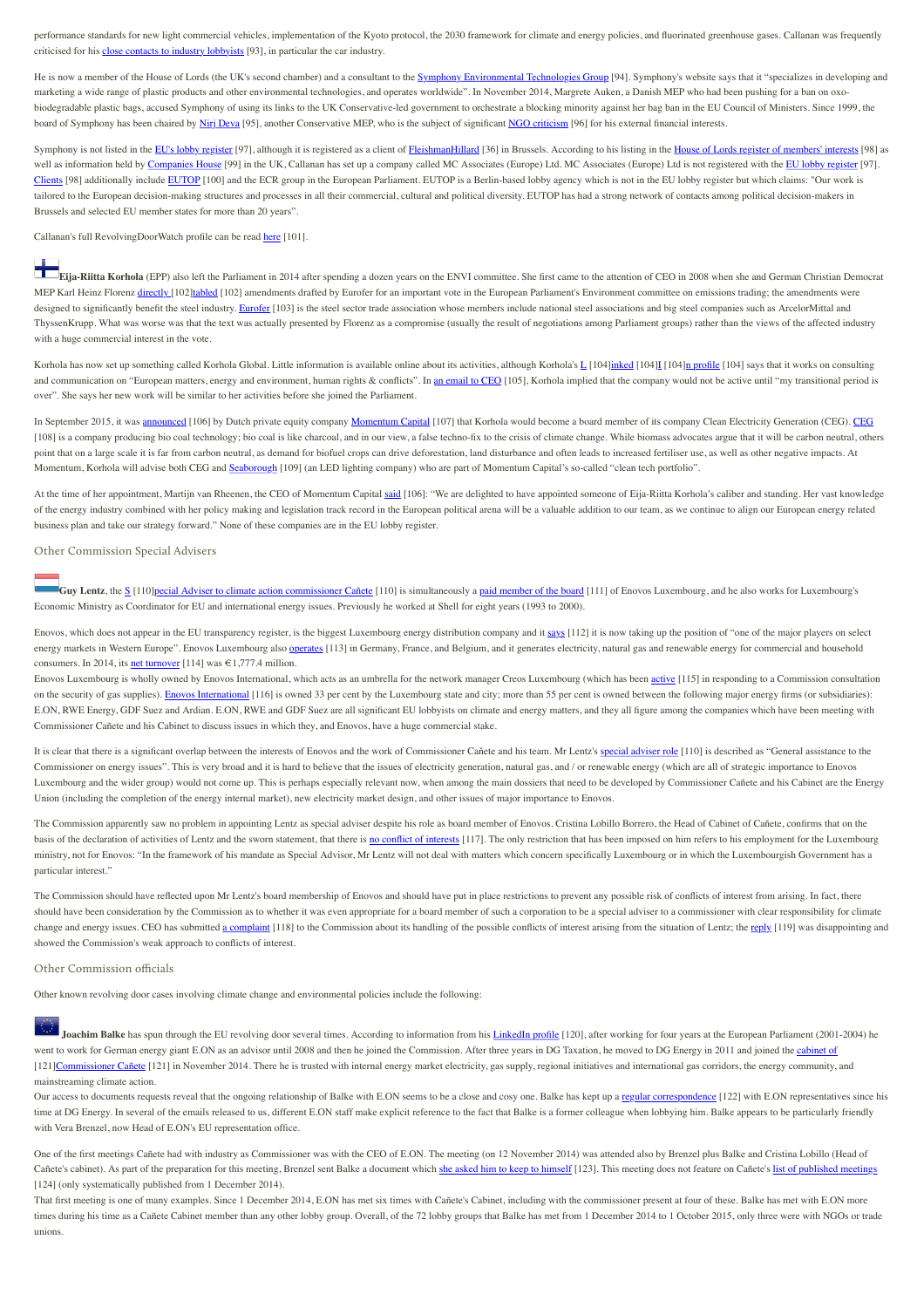performance standards for new light commercial vehicles, implementation of the Kyoto protocol, the 2030 framework for climate and energy policies, and fluorinated greenhouse gases. Callanan was frequently criticised for his [close contacts to industry lobbyists](http://corporateeurope.org/coverage/meps-take-care-business) [93], in particular the car industry.

He is now a member of the House of Lords (the UK's second chamber) and a consultant to the [Symphony Environmental Technologies Group](http://www.symphonyenvironmental.com/corporate/) [94]. Symphony's website says that it "specializes in developing and marketing a wide range of plastic products and other environmental technologies, and operates worldwide". In November 2014, Margrete Auken, a Danish MEP who had been pushing for a ban on oxobiodegradable plastic bags, accused Symphony of using its links to the UK Conservative-led government to orchestrate a blocking minority against her bag ban in the EU Council of Ministers. Since 1999, the board of Symphony has been chaired by Niri Deva [95], another Conservative MEP, who is the subject of significant [NGO criticism](http://www.foeeurope.org/sites/default/files/conflicts_of_interest/2015/whose_representatives_-meps_on_the_industry_payroll-update.pdf) [96] for his external financial interests.

Symphony is not listed in the [EU's lobby register](http://ec.europa.eu/transparencyregister/info/homePage.do) [97], although it is registered as a client of [FleishmanHillard](http://lobbyfacts.eu/representative/e3f1aa49fd804c4ca02273558aa5553b) [36] in Brussels. According to his listing in the [House of Lords register of members' interests](http://www.parliament.uk/mps-lords-and-offices/standards-and-interests/register-of-lords-interests/?letter=C) [98] as well as information held by [Companies House](http://wck2.companieshouse.gov.uk//companysearch?disp=1&frfsh=1419336484&#result) [99] in the UK, Callanan has set up a company called MC Associates (Europe) Ltd. MC Associates (Europe) Ltd is not registered with the [EU lobby register](http://ec.europa.eu/transparencyregister/info/homePage.do) [97]. [Clients](http://www.parliament.uk/mps-lords-and-offices/standards-and-interests/register-of-lords-interests/?letter=C) [98] additionally include [EUTOP](http://www.eutop.com/eu) [100] and the ECR group in the European Parliament. EUTOP is a Berlin-based lobby agency which is not in the EU lobby register but which claims: "Our work is tailored to the European decision-making structures and processes in all their commercial, cultural and political diversity. EUTOP has had a strong network of contacts among political decision-makers in Brussels and selected EU member states for more than 20 years".

Callanan's full RevolvingDoorWatch profile can be read [here](http://corporateeurope.org/revolvingdoorwatch/cases/martin-callanan) [101].

**Eija-Riitta Korhola** (EPP) also left the Parliament in 2014 after spending a dozen years on the ENVI committee. She first came to the attention of CEO in 2008 when she and German Christian Democrat MEP Karl Heinz Florenz [directly \[](http://corporateeurope.org/sites/default/files/sites/default/files/files/resource/lafarge_arcelor_mittal_jackpot.pdf)102[\]tabled](http://corporateeurope.org/sites/default/files/sites/default/files/files/resource/lafarge_arcelor_mittal_jackpot.pdf) [102] amendments drafted by Eurofer for an important vote in the European Parliament's Environment committee on emissions trading; the amendments were designed to significantly benefit the steel industry. [Eurofer](http://lobbyfacts.eu/representative/aa63787c20ea48159767ec3551e19e1b) [103] is the steel sector trade association whose members include national steel associations and big steel companies such as ArcelorMittal and ThyssenKrupp. What was worse was that the text was actually presented by Florenz as a compromise (usually the result of negotiations among Parliament groups) rather than the views of the affected industry with a huge commercial interest in the vote.

Korhola has now set up something called Korhola Global. [L](https://www.linkedin.com/profile/view?id=AAkAAA_NjqcBdMFxt1Z6WkgEi_BiOnAAJ7Jf9yw&authType=NAME_SEARCH&authToken=a-46&locale=en_US&trk=tyah&trkInfo=clickedVertical:mynetwork,clickedEntityId:265129639,authType:NAME_SEARCH,idx:1-1-1,tarId:1442853507228,tas:Eija-Riitta%20Korhola)ittle information is available online about its activities, although Korhola's L [104[\]inked](https://www.linkedin.com/profile/view?id=AAkAAA_NjqcBdMFxt1Z6WkgEi_BiOnAAJ7Jf9yw&authType=NAME_SEARCH&authToken=a-46&locale=en_US&trk=tyah&trkInfo=clickedVertical:mynetwork,clickedEntityId:265129639,authType:NAME_SEARCH,idx:1-1-1,tarId:1442853507228,tas:Eija-Riitta%20Korhola) [104][104]] [104] [104] says that it works on consulting and communication on "European matters, energy and environment, human rights & conflicts". In [an email to CEO](http://corporateeurope.org/sites/default/files/korhola_exchanges.pdf) [105], Korhola implied that the company would not be active until "my transitional period is over". She says her new work will be similar to her activities before she joined the Parliament.

In September 2015, it was [announced](http://newsroom.momentumcapital.nl/en/momentum-capital-appoints-eija-riitta-korhola-as-board-member-of-clean-electricity-generation-ceg/) [106] by Dutch private equity company [Momentum Capital](http://momentumcapital.co.uk/) [107] that Korhola would become a board member of its company Clean Electricity Generation (CEG). [CEG](http://cegeneration.com/index.html) [108] is a company producing bio coal technology; bio coal is like charcoal, and in our view, a false techno-fix to the crisis of climate change. While biomass advocates argue that it will be carbon neutral, others point that on a large scale it is far from carbon neutral, as demand for biofuel crops can drive deforestation, land disturbance and often leads to increased fertiliser use, as well as other negative impacts. At Momentum, Korhola will advise both CEG and [Seaborough](http://seaborough.com/index.html) [109] (an LED lighting company) who are part of Momentum Capital's so-called "clean tech portfolio".

At the time of her appointment, Martijn van Rheenen, the CEO of Momentum Capital [said](http://newsroom.momentumcapital.nl/en/momentum-capital-appoints-eija-riitta-korhola-as-board-member-of-clean-electricity-generation-ceg/) [106]: "We are delighted to have appointed someone of Eija-Riitta Korhola's caliber and standing. Her vast knowledge of the energy industry combined with her policy making and legislation track record in the European political arena will be a valuable addition to our team, as we continue to align our European energy related business plan and take our strategy forward." None of these companies are in the EU lobby register.

#### Other Commission Special Advisers

Guy Lentz, the [S](http://ec.europa.eu/civil_service/about/who/sa_en.htm)<sub>1110</sub>]<sub>pecial Adviser to climate action commissioner Cañete [110] is simultaneously a [paid member of the board](http://www.enovos.eu/en/enovos-group/enovos-luxembourg-s.a/management-and-board-of-directors) [111] of Enovos Luxembourg, and he also works for Luxembourg's</sub> Economic Ministry as Coordinator for EU and international energy issues. Previously he worked at Shell for eight years (1993 to 2000).

Enovos, which does not appear in the EU transparency register, is the biggest Luxembourg energy distribution company and it [says](http://www.enovos.eu/en/enovos-group) [112] it is now taking up the position of "one of the major players on select energy markets in Western Europe". Enovos Luxembourg also [operates](http://www.enovos.eu/en/enovos-group/enovos-luxembourg-s.a/snapshot) [113] in Germany, France, and Belgium, and it generates electricity, natural gas and renewable energy for commercial and household consumers. In 2014, its [net turnover](http://www.enovos.eu/en/enovos-group/enovos-luxembourg-s.a/annual-reports-and-key-figures) [114] was €1,777.4 million.

Enovos Luxembourg is wholly owned by Enovos International, which acts as an umbrella for the network manager Creos Luxembourg (which has been [active](http://corporateeurope.org/sites/default/files/3-e-mail_creos-ener_7.04.2015_annex_tbd.pdf) [115] in responding to a Commission consultation on the security of gas supplies). [Enovos International](http://www.enovos.eu/en/enovos-group/enovos-international-s.a/snapshot) [116] is owned 33 per cent by the Luxembourg state and city; more than 55 per cent is owned between the following major energy firms (or subsidiaries): E.ON, RWE Energy, GDF Suez and Ardian. E.ON, RWE and GDF Suez are all significant EU lobbyists on climate and energy matters, and they all figure among the companies which have been meeting with Commissioner Cañete and his Cabinet to discuss issues in which they, and Enovos, have a huge commercial stake.

It is clear that there is a significant overlap between the interests of Enovos and the work of Commissioner Caňete and his team. Mr Lentz's [special adviser role](http://ec.europa.eu/civil_service/about/who/sa_en.htm) [110] is described as "General assistance to the Commissioner on energy issues". This is very broad and it is hard to believe that the issues of electricity generation, natural gas, and / or renewable energy (which are all of strategic importance to Enovos Luxembourg and the wider group) would not come up. This is perhaps especially relevant now, when among the main dossiers that need to be developed by Commissioner Cañete and his Cabinet are the Energy Union (including the completion of the energy internal market), new electricity market design, and other issues of major importance to Enovos.

The Commission apparently saw no problem in appointing Lentz as special adviser despite his role as board member of Enovos. Cristina Lobillo Borrero, the Head of Cabinet of Cañete, confirms that on the basis of the declaration of activities of Lentz and the sworn statement, that there is [no conflict of interests](http://corporateeurope.org/sites/default/files/lentz-sta.pdf) [117]. The only restriction that has been imposed on him refers to his employment for the Luxembourg ministry, not for Enovos: "In the framework of his mandate as Special Advisor, Mr Lentz will not deal with matters which concern specifically Luxembourg or in which the Luxembourgish Government has a particular interest."

The Commission should have reflected upon Mr Lentz's board membership of Enovos and should have put in place restrictions to prevent any possible risk of conflicts of interest from arising. In fact, there should have been consideration by the Commission as to whether it was even appropriate for a board member of such a corporation to be a special adviser to a commissioner with clear responsibility for climate change and energy issues. CEO has submitted [a complaint](http://corporateeurope.org/sites/default/files/complaint_5.10.15.pdf) [118] to the Commission about its handling of the possible conflicts of interest arising from the situation of Lentz; the [reply](http://corporateeurope.org/sites/default/files/lentz_reply_13.11.15.pdf) [119] was disappointing and showed the Commission's weak approach to conflicts of interest.

#### Other Commission officials

Other known revolving door cases involving climate change and environmental policies include the following:

**Joachim Balke** has spun through the EU revolving door several times. According to information from his [LinkedIn profile](https://www.linkedin.com/pub/joachim-balke/6/222/32) [120], after working for four years at the European Parliament (2001-2004) he went to work for German energy giant E.ON as an advisor until 2008 and then he joined the Commission. After three years in DG Taxation, he moved to DG Energy in 2011 and joined the [cabinet of](https://ec.europa.eu/commission/2014-2019/arias-canete/team_en) [121] Commissioner Cañete [121] in November 2014. There he is trusted with internal energy market electricity, gas supply, regional initiatives and international gas corridors, the energy community, and mainstreaming climate action.

Our access to documents requests reveal that the ongoing relationship of Balke with E.ON seems to be a close and cosy one. Balke has kept up a [regular correspondence](http://corporateeurope.org/sites/default/files/overview_table-final-balanya-gestdem_2015-2659.doc) [122] with E.ON representatives since his time at DG Energy. In several of the emails released to us, different E.ON staff make explicit reference to the fact that Balke is a former colleague when lobbying him. Balke appears to be particularly friendly with Vera Brenzel, now Head of E.ON's EU representation office.

One of the first meetings Cañete had with industry as Commissioner was with the CEO of E.ON. The meeting (on 12 November 2014) was attended also by Brenzel plus Balke and Cristina Lobillo (Head of Cañete's cabinet). As part of the preparation for this meeting, Brenzel sent Balke a document which [she asked him to keep to himself](http://corporateeurope.org/sites/default/files/doc._no.18-ares20152422025.pdf) [123]. This meeting does not feature on Cañete's [list of published meetings](http://ec.europa.eu/transparencyinitiative/meetings/meeting.do?host=523060f7-97c6-480b-8bb9-30bb409e650e&d-6679426-p=21) [124] (only systematically published from 1 December 2014).

That first meeting is one of many examples. Since 1 December 2014, E.ON has met six times with Cañete's Cabinet, including with the commissioner present at four of these. Balke has met with E.ON more times during his time as a Cañete Cabinet member than any other lobby group. Overall, of the 72 lobby groups that Balke has met from 1 December 2014 to 1 October 2015, only three were with NGOs or trade unions.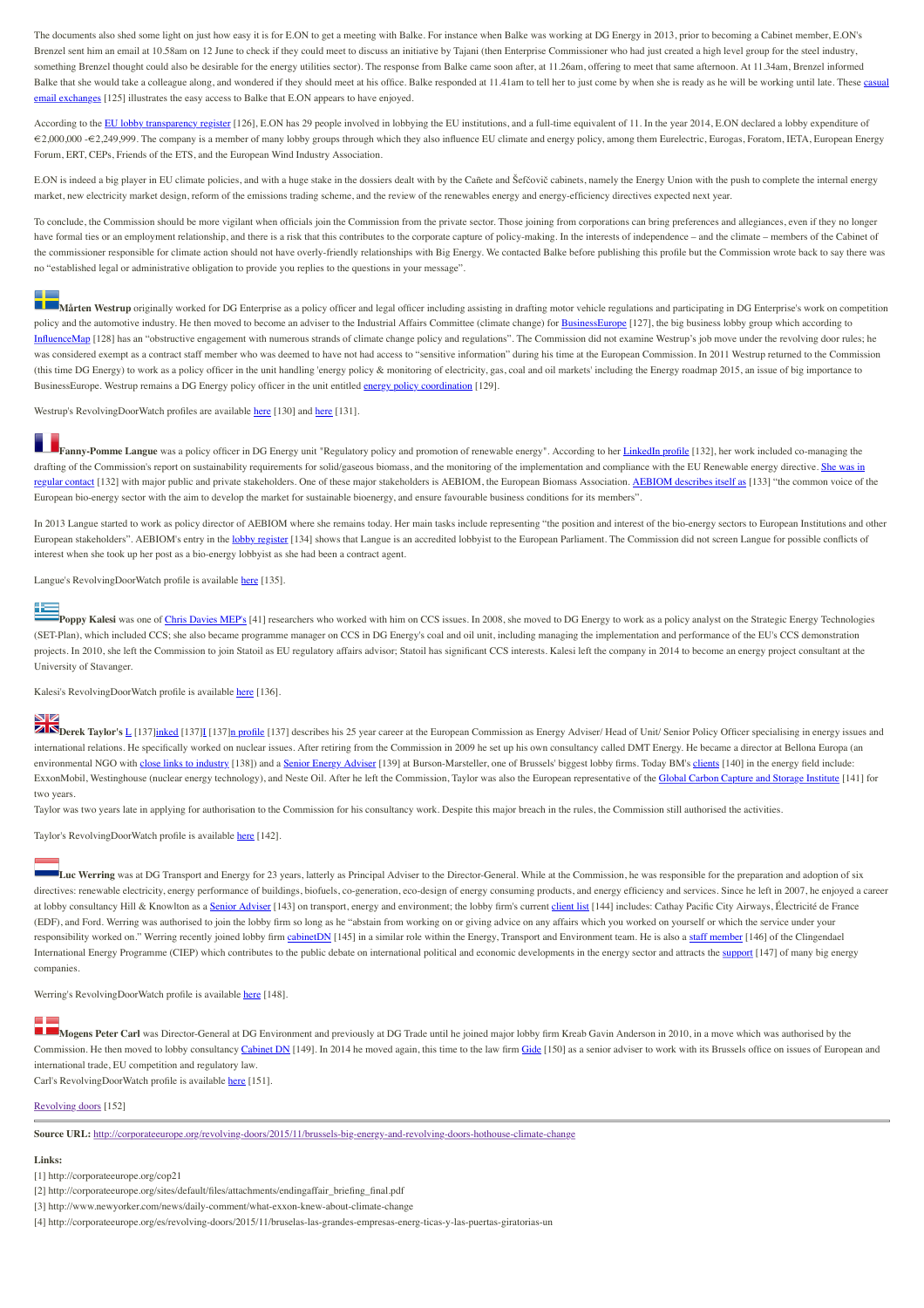The documents also shed some light on just how easy it is for E.ON to get a meeting with Balke. For instance when Balke was working at DG Energy in 2013, prior to becoming a Cabinet member, E.ON's Brenzel sent him an email at 10.58am on 12 June to check if they could meet to discuss an initiative by Tajani (then Enterprise Commissioner who had just created a high level group for the steel industry, something Brenzel thought could also be desirable for the energy utilities sector). The response from Balke came soon after, at 11.26am, offering to meet that same afternoon. At 11.34am, Brenzel informed [Balke that she would take a colleague along, and wondered if they should meet at his office. Balke responded at 11.41am to tell her to just come by when she is ready as he will be working until late. These casual](http://corporateeurope.org/sites/default/files/doc.no_.11-ares20152422650.pdf) email exchanges [125] illustrates the easy access to Balke that E.ON appears to have enjoyed.

According to the [EU lobby transparency register](http://lobbyfacts.eu/representative/d055677c4fea40f38af6c3a0c96b0bc8) [126], E.ON has 29 people involved in lobbying the EU institutions, and a full-time equivalent of 11. In the year 2014, E.ON declared a lobby expenditure of €2,000,000 -€2,249,999. The company is a member of many lobby groups through which they also influence EU climate and energy policy, among them Eurelectric, Eurogas, Foratom, IETA, European Energy Forum, ERT, CEPs, Friends of the ETS, and the European Wind Industry Association.

E.ON is indeed a big player in EU climate policies, and with a huge stake in the dossiers dealt with by the Cañete and Šefčovič cabinets, namely the Energy Union with the push to complete the internal energy market, new electricity market design, reform of the emissions trading scheme, and the review of the renewables energy and energy-efficiency directives expected next year.

To conclude, the Commission should be more vigilant when officials join the Commission from the private sector. Those joining from corporations can bring preferences and allegiances, even if they no longer have formal ties or an employment relationship, and there is a risk that this contributes to the corporate capture of policy-making. In the interests of independence – and the climate – members of the Cabinet of the commissioner responsible for climate action should not have overly-friendly relationships with Big Energy. We contacted Balke before publishing this profile but the Commission wrote back to say there was no "established legal or administrative obligation to provide you replies to the questions in your message".

Mårten Westrup originally worked for DG Enterprise as a policy officer and legal officer including assisting in drafting motor vehicle regulations and participating in DG Enterprise's work on competition policy and the automotive industry. He then moved to become an adviser to the Industrial Affairs Committee (climate change) for [BusinessEurope](http://www.businesseurope.eu/Content/Default.asp?PageID=571) [127], the big business lobby group which according to [InfluenceMap](http://influencemap.org/influencer/Business-Europe) [128] has an "obstructive engagement with numerous strands of climate change policy and regulations". The Commission did not examine Westrup's job move under the revolving door rules; he was considered exempt as a contract staff member who was deemed to have not had access to "sensitive information" during his time at the European Commission. In 2011 Westrup returned to the Commission (this time DG Energy) to work as a policy officer in the unit handling 'energy policy & monitoring of electricity, gas, coal and oil markets' including the Energy roadmap 2015, an issue of big importance to BusinessEurope. Westrup remains a DG Energy policy officer in the unit entitled **energy policy coordination** [129].

Westrup's RevolvingDoorWatch profiles are available [here](http://corporateeurope.org/revolvingdoorwatch/cases/m-rten-westrup) [130] and [here](http://corporateeurope.org/revolvingdoorwatch/cases/m-rten-westrup-0) [131].

**Fanny-Pomme Langue** was a policy officer in DG Energy unit "Regulatory policy and promotion of renewable energy". According to her [LinkedIn profile](http://www.linkedin.com/pub/fanny-pomme-langue/13/a05/45a) [132], her work included co-managing the [drafting of the Commission's report on sustainability requirements for solid/gaseous biomass, and the monitoring of the implementation and compliance with the EU Renewable energy directive. She was in](http://www.linkedin.com/pub/fanny-pomme-langue/13/a05/45a) regular contact [132] with major public and private stakeholders. One of these major stakeholders is AEBIOM, the European Biomass Association. [AEBIOM describes itself as](http://www.aebiom.org/?p=3232) [133] "the common voice of the European bio-energy sector with the aim to develop the market for sustainable bioenergy, and ensure favourable business conditions for its members".

In 2013 Langue started to work as policy director of AEBIOM where she remains today. Her main tasks include representing "the position and interest of the bio-energy sectors to European Institutions and other European stakeholders". AEBIOM's entry in the [lobby register](http://lobbyfacts.eu/representative/dede1c42baea4dc98b0db9c4ceebb4b6) [134] shows that Langue is an accredited lobbyist to the European Parliament. The Commission did not screen Langue for possible conflicts of interest when she took up her post as a bio-energy lobbyist as she had been a contract agent.

Langue's RevolvingDoorWatch profile is available [here](http://corporateeurope.org/revolvingdoorwatch/cases/fanny-pomme-langue) [135].

Poppy Kalesi was one of <u>Chris Davies MEP's</u> [41] researchers who worked with him on CCS issues. In 2008, she moved to DG Energy to work as a policy analyst on the Strategic Energy Technologies (SET-Plan), which included CCS; she also became programme manager on CCS in DG Energy's coal and oil unit, including managing the implementation and performance of the EU's CCS demonstration projects. In 2010, she left the Commission to join Statoil as EU regulatory affairs advisor; Statoil has significant CCS interests. Kalesi left the company in 2014 to become an energy project consultant at the University of Stavanger.

Kalesi's RevolvingDoorWatch profile is available [here](http://corporateeurope.org/revolvingdoorwatch/cases/poppy-kalesi) [136].

**Derek Taylor's** [L](https://www.linkedin.com/pub/derek-taylor/30/717/a33) [137[\]inked](https://www.linkedin.com/pub/derek-taylor/30/717/a33) [137] [137] n profile [137] describes his 25 year career at the European Commission as Energy Adviser/ Head of Unit/ Senior Policy Officer specialising in energy issues and international relations. He specifically worked on nuclear issues. After retiring from the Commission in 2009 he set up his own consultancy called DMT Energy. He became a director at Bellona Europa (an environmental NGO with [close links to industry](http://bellona.org/partners) [138]) and a [Senior Energy Adviser](http://burson-marsteller.be/about/team/senior-consultants/) [139] at Burson-Marsteller, one of Brussels' biggest lobby firms. Today BM's [clients](http://lobbyfacts.eu/representative/016a35ac50f040c4ae2d250c103c4e43) [140] in the energy field include: ExxonMobil, Westinghouse (nuclear energy technology), and Neste Oil. After he left the Commission, Taylor was also the European representative of the [Global Carbon Capture and Storage Institute](http://www.globalccsinstitute.com/) [141] for two years.

Taylor was two years late in applying for authorisation to the Commission for his consultancy work. Despite this major breach in the rules, the Commission still authorised the activities.

Taylor's RevolvingDoorWatch profile is available [here](http://corporateeurope.org/revolvingdoorwatch/cases/derek-taylor) [142].

Luc Werring was at DG Transport and Energy for 23 years, latterly as Principal Adviser to the Director-General. While at the Commission, he was responsible for the preparation and adoption of six directives: renewable electricity, energy performance of buildings, biofuels, co-generation, eco-design of energy consuming products, and energy efficiency and services. Since he left in 2007, he enjoyed a career at lobby consultancy Hill & Knowlton as a [Senior Adviser](http://www.hkstrategies.be/en/Our-Team/Luc-Werring) [143] on transport, energy and environment; the lobby firm's current [client list](http://lobbyfacts.eu/representative/5477748bbbc7482cad09f326827b668b) [144] includes: Cathay Pacific City Airways, Électricité de France (EDF), and Ford. Werring was authorised to join the lobby firm so long as he "abstain from working on or giving advice on any affairs which you worked on yourself or which the service under your responsibility worked on." Werring recently joined lobby firm *cabinetDN* [145] in a similar role within the Energy, Transport and Environment team. He is also a [staff member](http://www.clingendaelenergy.com/about_ciep/staff/member/luc-werring) [146] of the Clingendael International Energy Programme (CIEP) which contributes to the public debate on international political and economic developments in the energy sector and attracts the [support](http://www.clingendaelenergy.com/about_ciep/partner_institutions) [147] of many big energy companies.

Werring's RevolvingDoorWatch profile is available [here](http://corporateeurope.org/revolvingdoorwatch/cases/luc-werring) [148].

**Mogens Peter Carl** was Director-General at DG Environment and previously at DG Trade until he joined major lobby firm Kreab Gavin Anderson in 2010, in a move which was authorised by the Commission. He then moved to lobby consultancy [Cabinet DN](http://www.cabinetdn.com/our-team/mogens-peter-carl/) [149]. In 2014 he moved again, this time to the law firm [Gide](http://www.gide.com/en/news/mogens-peter-carl-joins-gide-as-senior-advisor) [150] as a senior adviser to work with its Brussels office on issues of European and international trade, EU competition and regulatory law. Carl's RevolvingDoorWatch profile is available [here](http://corporateeurope.org/revolvingdoorwatch/cases/mogens-peter-carl) [151].

[Revolving doors](http://corporateeurope.org/power-lobbies/revolving-doors) [152]

**Source URL:** <http://corporateeurope.org/revolving-doors/2015/11/brussels-big-energy-and-revolving-doors-hothouse-climate-change>

#### **Links:**

- [1] http://corporateeurope.org/cop21
- [2] http://corporateeurope.org/sites/default/files/attachments/endingaffair\_briefing\_final.pdf
- [3] http://www.newyorker.com/news/daily-comment/what-exxon-knew-about-climate-change

[4] http://corporateeurope.org/es/revolving-doors/2015/11/bruselas-las-grandes-empresas-energ-ticas-y-las-puertas-giratorias-un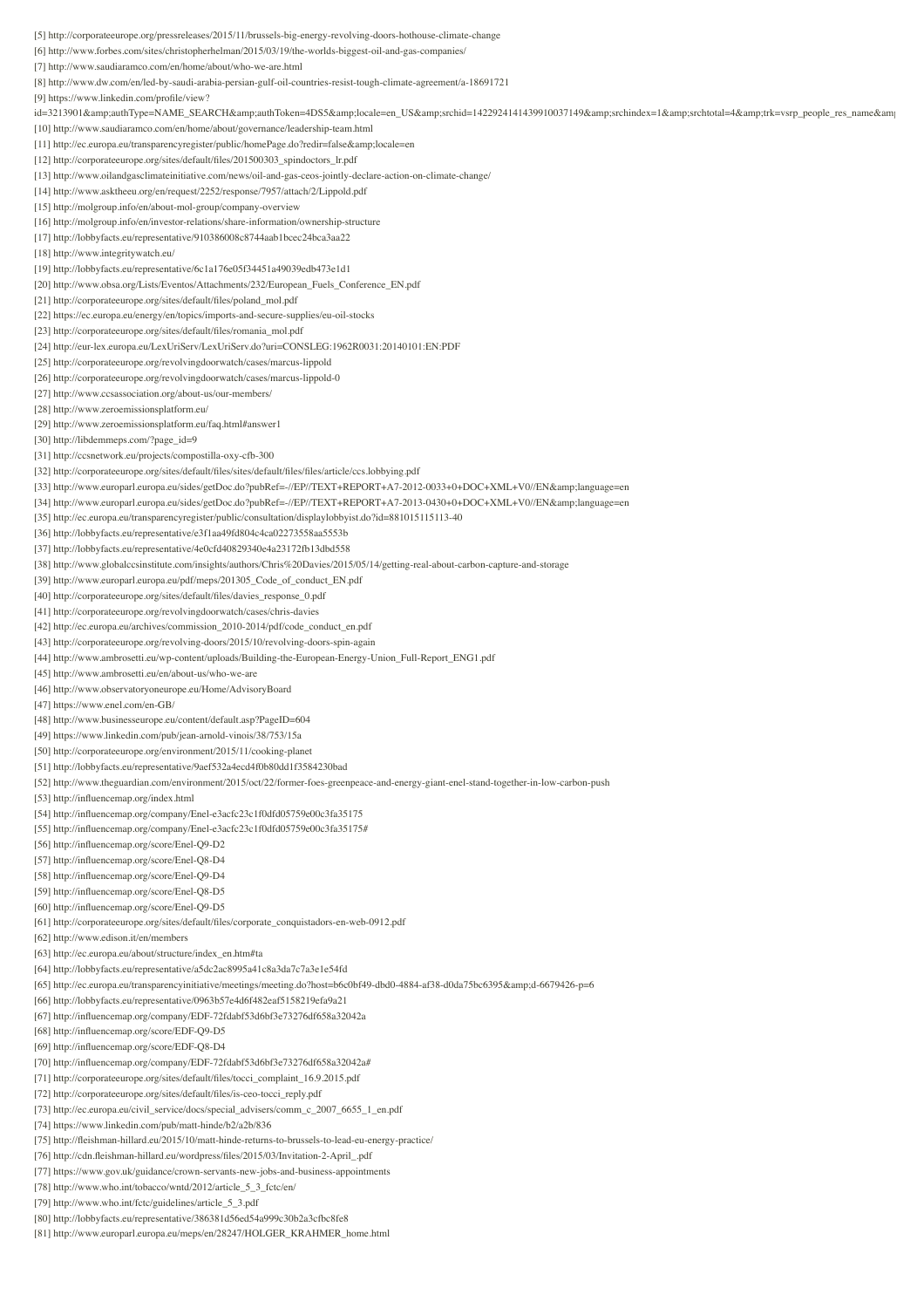[5] http://corporateeurope.org/pressreleases/2015/11/brussels-big-energy-revolving-doors-hothouse-climate-change

[6] http://www.forbes.com/sites/christopherhelman/2015/03/19/the-worlds-biggest-oil-and-gas-companies/

[7] http://www.saudiaramco.com/en/home/about/who-we-are.html

- [8] http://www.dw.com/en/led-by-saudi-arabia-persian-gulf-oil-countries-resist-tough-climate-agreement/a-18691721
- [9] https://www.linkedin.com/profile/view?

id=3213901&authType=NAME\_SEARCH&authToken=4DS5&locale=en\_US&srchid=1422924141439910037149&srchindex=1&srchtotal=4&trk=vsrp\_people\_res\_name&am

[10] http://www.saudiaramco.com/en/home/about/governance/leadership-team.html

[11] http://ec.europa.eu/transparencyregister/public/homePage.do?redir=false&locale=en

- [12] http://corporateeurope.org/sites/default/files/201500303\_spindoctors\_lr.pdf
- [13] http://www.oilandgasclimateinitiative.com/news/oil-and-gas-ceos-jointly-declare-action-on-climate-change/
- 
- [14] http://www.asktheeu.org/en/request/2252/response/7957/attach/2/Lippold.pdf
- [15] http://molgroup.info/en/about-mol-group/company-overview
- [16] http://molgroup.info/en/investor-relations/share-information/ownership-structure
- [17] http://lobbyfacts.eu/representative/910386008c8744aab1bcec24bca3aa22
- [18] http://www.integritywatch.eu/
- [19] http://lobbyfacts.eu/representative/6c1a176e05f34451a49039edb473e1d1
- [20] http://www.obsa.org/Lists/Eventos/Attachments/232/European\_Fuels\_Conference\_EN.pdf
- [21] http://corporateeurope.org/sites/default/files/poland\_mol.pdf
- [22] https://ec.europa.eu/energy/en/topics/imports-and-secure-supplies/eu-oil-stocks
- [23] http://corporateeurope.org/sites/default/files/romania\_mol.pdf
- [24] http://eur-lex.europa.eu/LexUriServ/LexUriServ.do?uri=CONSLEG:1962R0031:20140101:EN:PDF
- [25] http://corporateeurope.org/revolvingdoorwatch/cases/marcus-lippold
- [26] http://corporateeurope.org/revolvingdoorwatch/cases/marcus-lippold-0
- [27] http://www.ccsassociation.org/about-us/our-members/
- [28] http://www.zeroemissionsplatform.eu/
- [29] http://www.zeroemissionsplatform.eu/faq.html#answer1
- [30] http://libdemmeps.com/?page\_id=9
- [31] http://ccsnetwork.eu/projects/compostilla-oxy-cfb-300
- [32] http://corporateeurope.org/sites/default/files/sites/default/files/files/article/ccs.lobbying.pdf
- [33] http://www.europarl.europa.eu/sides/getDoc.do?pubRef=-//EP//TEXT+REPORT+A7-2012-0033+0+DOC+XML+V0//EN&language=en
- [34] http://www.europarl.europa.eu/sides/getDoc.do?pubRef=-//EP//TEXT+REPORT+A7-2013-0430+0+DOC+XML+V0//EN&language=en
- [35] http://ec.europa.eu/transparencyregister/public/consultation/displaylobbyist.do?id=881015115113-40
- [36] http://lobbyfacts.eu/representative/e3f1aa49fd804c4ca02273558aa5553b
- [37] http://lobbyfacts.eu/representative/4e0cfd40829340e4a23172fb13dbd558
- [38] http://www.globalccsinstitute.com/insights/authors/Chris%20Davies/2015/05/14/getting-real-about-carbon-capture-and-storage
- [39] http://www.europarl.europa.eu/pdf/meps/201305\_Code\_of\_conduct\_EN.pdf
- [40] http://corporateeurope.org/sites/default/files/davies\_response\_0.pdf
- [41] http://corporateeurope.org/revolvingdoorwatch/cases/chris-davies
- [42] http://ec.europa.eu/archives/commission\_2010-2014/pdf/code\_conduct\_en.pdf
- [43] http://corporateeurope.org/revolving-doors/2015/10/revolving-doors-spin-again
- [44] http://www.ambrosetti.eu/wp-content/uploads/Building-the-European-Energy-Union\_Full-Report\_ENG1.pdf
- [45] http://www.ambrosetti.eu/en/about-us/who-we-are
- [46] http://www.observatoryoneurope.eu/Home/AdvisoryBoard
- [47] https://www.enel.com/en-GB/
- [48] http://www.businesseurope.eu/content/default.asp?PageID=604
- [49] https://www.linkedin.com/pub/jean-arnold-vinois/38/753/15a
- [50] http://corporateeurope.org/environment/2015/11/cooking-planet
- [51] http://lobbyfacts.eu/representative/9aef532a4ecd4f0b80dd1f3584230bad
- [52] http://www.theguardian.com/environment/2015/oct/22/former-foes-greenpeace-and-energy-giant-enel-stand-together-in-low-carbon-push
- [53] http://influencemap.org/index.html
- [54] http://influencemap.org/company/Enel-e3acfc23c1f0dfd05759e00c3fa35175
- [55] http://influencemap.org/company/Enel-e3acfc23c1f0dfd05759e00c3fa35175#
- [56] http://influencemap.org/score/Enel-Q9-D2
- [57] http://influencemap.org/score/Enel-Q8-D4
- 
- [58] http://influencemap.org/score/Enel-Q9-D4
- [59] http://influencemap.org/score/Enel-Q8-D5
- [60] http://influencemap.org/score/Enel-Q9-D5
- [61] http://corporateeurope.org/sites/default/files/corporate\_conquistadors-en-web-0912.pdf
- [62] http://www.edison.it/en/members
- [63] http://ec.europa.eu/about/structure/index\_en.htm#ta
- [64] http://lobbyfacts.eu/representative/a5dc2ac8995a41c8a3da7c7a3e1e54fd
- [65] http://ec.europa.eu/transparencyinitiative/meetings/meeting.do?host=b6c0bf49-dbd0-4884-af38-d0da75bc6395&d-6679426-p=6
- [66] http://lobbyfacts.eu/representative/0963b57e4d6f482eaf5158219efa9a21
- [67] http://influencemap.org/company/EDF-72fdabf53d6bf3e73276df658a32042a
- [68] http://influencemap.org/score/EDF-Q9-D5
- [69] http://influencemap.org/score/EDF-Q8-D4
- 
- [70] http://influencemap.org/company/EDF-72fdabf53d6bf3e73276df658a32042a#
- [71] http://corporateeurope.org/sites/default/files/tocci\_complaint\_16.9.2015.pdf
- [72] http://corporateeurope.org/sites/default/files/is-ceo-tocci\_reply.pdf
- [73] http://ec.europa.eu/civil\_service/docs/special\_advisers/comm\_c\_2007\_6655\_1\_en.pdf
- [74] https://www.linkedin.com/pub/matt-hinde/b2/a2b/836
- [75] http://fleishman-hillard.eu/2015/10/matt-hinde-returns-to-brussels-to-lead-eu-energy-practice/
- [76] http://cdn.fleishman-hillard.eu/wordpress/files/2015/03/Invitation-2-April\_.pdf
- [77] https://www.gov.uk/guidance/crown-servants-new-jobs-and-business-appointments
- [78] http://www.who.int/tobacco/wntd/2012/article\_5\_3\_fctc/en/
- [79] http://www.who.int/fctc/guidelines/article\_5\_3.pdf
- [80] http://lobbyfacts.eu/representative/386381d56ed54a999c30b2a3cfbc8fe8
- [81] http://www.europarl.europa.eu/meps/en/28247/HOLGER\_KRAHMER\_home.html